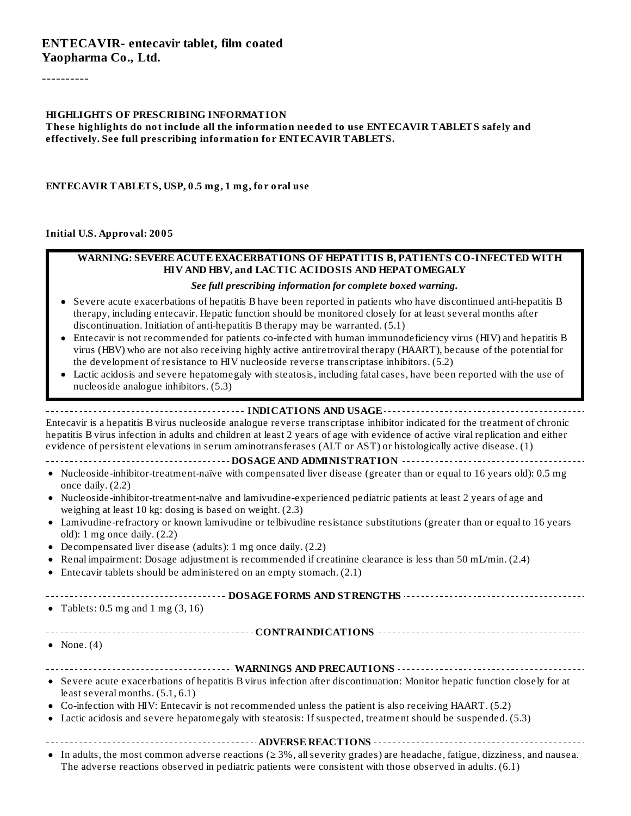----------

#### **HIGHLIGHTS OF PRESCRIBING INFORMATION**

**These highlights do not include all the information needed to use ENTECAVIR TABLETS safely and effectively. See full prescribing information for ENTECAVIR TABLETS.**

**ENTECAVIR TABLETS, USP, 0.5 mg, 1 mg, for oral use**

**Initial U.S. Approval: 2005**

#### **WARNING: SEVERE ACUTE EXACERBATIONS OF HEPATITIS B, PATIENTS CO-INFECTED WITH HIV AND HBV, and LACTIC ACIDOSIS AND HEPATOMEGALY**

#### *See full prescribing information for complete boxed warning.*

- Severe acute exacerbations of hepatitis B have been reported in patients who have discontinued anti-hepatitis B therapy, including entecavir. Hepatic function should be monitored closely for at least several months after discontinuation. Initiation of anti-hepatitis B therapy may be warranted. (5.1)
- Entecavir is not recommended for patients co-infected with human immunodeficiency virus (HIV) and hepatitis B virus (HBV) who are not also receiving highly active antiretroviral therapy (HAART), because of the potential for the development of resistance to HIV nucleoside reverse transcriptase inhibitors. (5.2)
- Lactic acidosis and severe hepatomegaly with steatosis, including fatal cases, have been reported with the use of nucleoside analogue inhibitors. (5.3)

#### **INDICATIONS AND USAGE INDICATIONS AND USAGE** *CONSIDERATIONS* **AND USAGE** *AND* **USAGE** *AND* **USAGE** *AND*

Entecavir is a hepatitis B virus nucleoside analogue reverse transcriptase inhibitor indicated for the treatment of chronic hepatitis B virus infection in adults and children at least 2 years of age with evidence of active viral replication and either evidence of persistent elevations in serum aminotransferases (ALT or AST) or histologically active disease. (1)

- **DOSAGE AND ADMINISTRATION**
- Nucleoside-inhibitor-treatment-naïve with compensated liver disease (greater than or equal to 16 years old): 0.5 mg once daily. (2.2)
- Nucleoside-inhibitor-treatment-naïve and lamivudine-experienced pediatric patients at least 2 years of age and weighing at least 10 kg: dosing is based on weight. (2.3)
- Lamivudine-refractory or known lamivudine or telbivudine resistance substitutions (greater than or equal to 16 years old): 1 mg once daily. (2.2)
- Decompensated liver disease (adults): 1 mg once daily. (2.2)
- Renal impairment: Dosage adjustment is recommended if creatinine clearance is less than 50 mL/min. (2.4)
- Entecavir tablets should be administered on an empty stomach. (2.1)

**DOSAGE FORMS AND STRENGTHS** • Tablets:  $0.5$  mg and  $1 \text{ mg } (3, 16)$ **CONTRAINDICATIONS** • None.  $(4)$ **WARNINGS AND PRECAUTIONS** Severe acute exacerbations of hepatitis B virus infection after discontinuation: Monitor hepatic function closely for at least several months. (5.1, 6.1) Co-infection with HIV: Entecavir is not recommended unless the patient is also receiving HAART. (5.2) Lactic acidosis and severe hepatomegaly with steatosis: If suspected, treatment should be suspended. (5.3)

**ADVERSE REACTIONS**

In adults, the most common adverse reactions (≥ 3%, allseverity grades) are headache, fatigue, dizziness, and nausea. The adverse reactions observed in pediatric patients were consistent with those observed in adults. (6.1)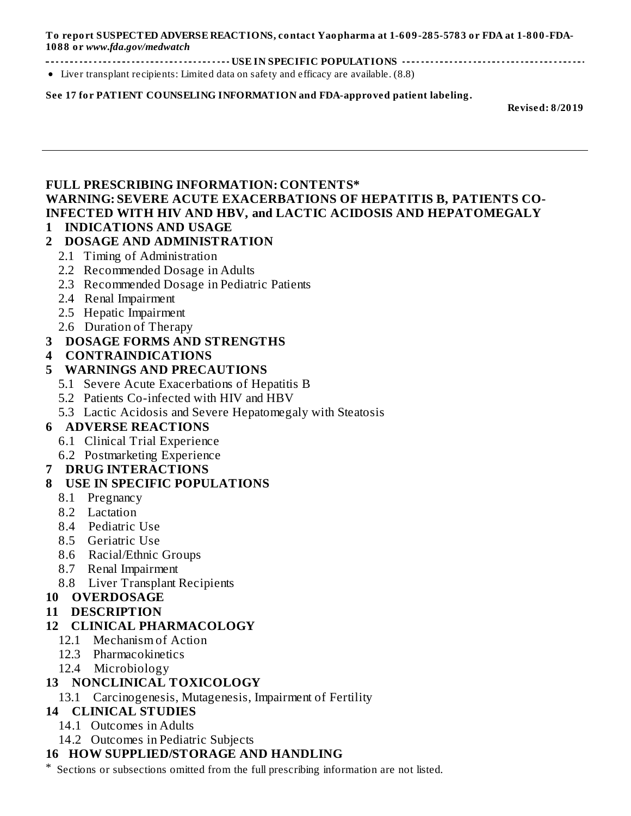**To report SUSPECTED ADVERSE REACTIONS, contact Yaopharma at 1-609-285-5783 or FDA at 1-800-FDA-1088 or** *www.fda.gov/medwatch*

**USE IN SPECIFIC POPULATIONS**

Liver transplant recipients: Limited data on safety and efficacy are available. (8.8)

#### **See 17 for PATIENT COUNSELING INFORMATION and FDA-approved patient labeling.**

**Revised: 8/2019**

### **FULL PRESCRIBING INFORMATION: CONTENTS\* WARNING: SEVERE ACUTE EXACERBATIONS OF HEPATITIS B, PATIENTS CO-INFECTED WITH HIV AND HBV, and LACTIC ACIDOSIS AND HEPATOMEGALY**

#### **1 INDICATIONS AND USAGE**

#### **2 DOSAGE AND ADMINISTRATION**

- 2.1 Timing of Administration
- 2.2 Recommended Dosage in Adults
- 2.3 Recommended Dosage in Pediatric Patients
- 2.4 Renal Impairment
- 2.5 Hepatic Impairment
- 2.6 Duration of Therapy

#### **3 DOSAGE FORMS AND STRENGTHS**

**4 CONTRAINDICATIONS**

#### **5 WARNINGS AND PRECAUTIONS**

- 5.1 Severe Acute Exacerbations of Hepatitis B
- 5.2 Patients Co-infected with HIV and HBV
- 5.3 Lactic Acidosis and Severe Hepatomegaly with Steatosis

### **6 ADVERSE REACTIONS**

- 6.1 Clinical Trial Experience
- 6.2 Postmarketing Experience

### **7 DRUG INTERACTIONS**

### **8 USE IN SPECIFIC POPULATIONS**

- 8.1 Pregnancy
- 8.2 Lactation
- 8.4 Pediatric Use
- 8.5 Geriatric Use
- 8.6 Racial/Ethnic Groups
- 8.7 Renal Impairment
- 8.8 Liver Transplant Recipients

#### **10 OVERDOSAGE**

**11 DESCRIPTION**

### **12 CLINICAL PHARMACOLOGY**

- 12.1 Mechanism of Action
- 12.3 Pharmacokinetics
- 12.4 Microbiology

### **13 NONCLINICAL TOXICOLOGY**

13.1 Carcinogenesis, Mutagenesis, Impairment of Fertility

# **14 CLINICAL STUDIES**

- 14.1 Outcomes in Adults
- 14.2 Outcomes in Pediatric Subjects

### **16 HOW SUPPLIED/STORAGE AND HANDLING**

Sections or subsections omitted from the full prescribing information are not listed.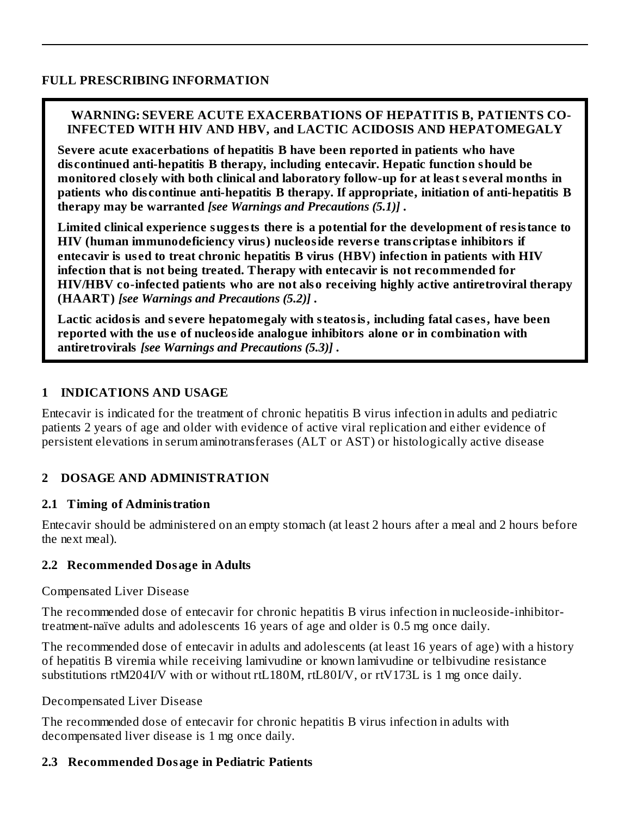### **FULL PRESCRIBING INFORMATION**

## **WARNING: SEVERE ACUTE EXACERBATIONS OF HEPATITIS B, PATIENTS CO-INFECTED WITH HIV AND HBV, and LACTIC ACIDOSIS AND HEPATOMEGALY**

**Severe acute exacerbations of hepatitis B have been reported in patients who have dis continued anti-hepatitis B therapy, including entecavir. Hepatic function should be monitored clos ely with both clinical and laboratory follow-up for at least s everal months in patients who dis continue anti-hepatitis B therapy. If appropriate, initiation of anti-hepatitis B therapy may be warranted** *[see Warnings and Precautions (5.1)]* **.**

**Limited clinical experience suggests there is a potential for the development of resistance to HIV (human immunodeficiency virus) nucleoside revers e trans criptas e inhibitors if entecavir is us ed to treat chronic hepatitis B virus (HBV) infection in patients with HIV infection that is not being treated. Therapy with entecavir is not recommended for HIV/HBV co-infected patients who are not also receiving highly active antiretroviral therapy (HAART)** *[see Warnings and Precautions (5.2)]* **.**

**Lactic acidosis and s evere hepatomegaly with steatosis, including fatal cas es, have been reported with the us e of nucleoside analogue inhibitors alone or in combination with antiretrovirals** *[see Warnings and Precautions (5.3)]* **.**

#### **1 INDICATIONS AND USAGE**

Entecavir is indicated for the treatment of chronic hepatitis B virus infection in adults and pediatric patients 2 years of age and older with evidence of active viral replication and either evidence of persistent elevations in serum aminotransferases (ALT or AST) or histologically active disease

### **2 DOSAGE AND ADMINISTRATION**

### **2.1 Timing of Administration**

Entecavir should be administered on an empty stomach (at least 2 hours after a meal and 2 hours before the next meal).

### **2.2 Recommended Dosage in Adults**

#### Compensated Liver Disease

The recommended dose of entecavir for chronic hepatitis B virus infection in nucleoside-inhibitortreatment-naïve adults and adolescents 16 years of age and older is 0.5 mg once daily.

The recommended dose of entecavir in adults and adolescents (at least 16 years of age) with a history of hepatitis B viremia while receiving lamivudine or known lamivudine or telbivudine resistance substitutions rtM204I/V with or without rtL180M, rtL80I/V, or rtV173L is 1 mg once daily.

#### Decompensated Liver Disease

The recommended dose of entecavir for chronic hepatitis B virus infection in adults with decompensated liver disease is 1 mg once daily.

### **2.3 Recommended Dosage in Pediatric Patients**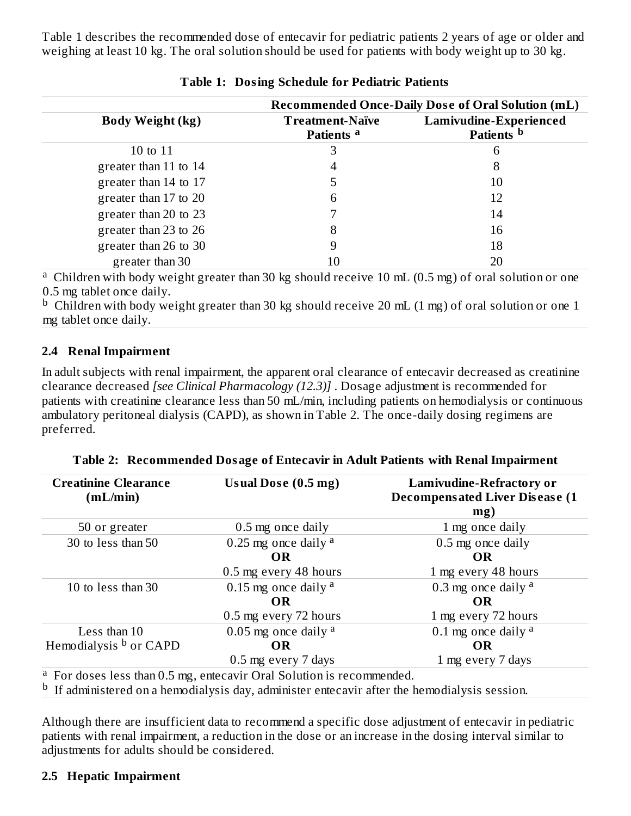Table 1 describes the recommended dose of entecavir for pediatric patients 2 years of age or older and weighing at least 10 kg. The oral solution should be used for patients with body weight up to 30 kg.

|                         | <b>Recommended Once-Daily Dose of Oral Solution (mL)</b> |                                                 |  |  |
|-------------------------|----------------------------------------------------------|-------------------------------------------------|--|--|
| <b>Body Weight (kg)</b> | <b>Treatment-Naïve</b><br>Patients <sup>a</sup>          | Lamivudine-Experienced<br>Patients <sup>b</sup> |  |  |
| 10 to 11                | 3                                                        | 6                                               |  |  |
| greater than 11 to 14   | 4                                                        | 8                                               |  |  |
| greater than 14 to 17   |                                                          | 10                                              |  |  |
| greater than 17 to 20   | 6                                                        | 12                                              |  |  |
| greater than 20 to 23   |                                                          | 14                                              |  |  |
| greater than 23 to 26   | 8                                                        | 16                                              |  |  |
| greater than 26 to 30   | 9                                                        | 18                                              |  |  |
| greater than 30         | 10                                                       | 20                                              |  |  |

<sup>a</sup> Children with body weight greater than 30 kg should receive 10 mL (0.5 mg) of oral solution or one 0.5 mg tablet once daily.

 $^{\rm b}$  Children with body weight greater than 30 kg should receive 20 mL (1 mg) of oral solution or one 1 mg tablet once daily.

### **2.4 Renal Impairment**

In adult subjects with renal impairment, the apparent oral clearance of entecavir decreased as creatinine clearance decreased *[see Clinical Pharmacology (12.3)]* . Dosage adjustment is recommended for patients with creatinine clearance less than 50 mL/min, including patients on hemodialysis or continuous ambulatory peritoneal dialysis (CAPD), as shown in Table 2. The once-daily dosing regimens are preferred.

| <b>Creatinine Clearance</b><br>(mL/min) | Usual Dose (0.5 mg)                                                              | <b>Lamivudine-Refractory or</b><br><b>Decompensated Liver Disease (1)</b><br>mg) |
|-----------------------------------------|----------------------------------------------------------------------------------|----------------------------------------------------------------------------------|
| 50 or greater                           | 0.5 mg once daily                                                                | 1 mg once daily                                                                  |
| 30 to less than 50                      | 0.25 mg once daily $a$                                                           | 0.5 mg once daily                                                                |
|                                         | <b>OR</b>                                                                        | <b>OR</b>                                                                        |
|                                         | 0.5 mg every 48 hours                                                            | 1 mg every 48 hours                                                              |
| 10 to less than 30                      | 0.15 mg once daily $a$                                                           | 0.3 mg once daily $a$                                                            |
|                                         | <b>OR</b>                                                                        | <b>OR</b>                                                                        |
|                                         | 0.5 mg every 72 hours                                                            | 1 mg every 72 hours                                                              |
| Less than 10                            | 0.05 mg once daily $a$                                                           | 0.1 mg once daily $a$                                                            |
| Hemodialysis b or CAPD                  | <b>OR</b>                                                                        | <b>OR</b>                                                                        |
|                                         | 0.5 mg every 7 days                                                              | 1 mg every 7 days                                                                |
|                                         | <sup>a</sup> For doses less than 0.5 mg, entecavir Oral Solution is recommended. |                                                                                  |

**Table 2: Recommended Dosage of Entecavir in Adult Patients with Renal Impairment**

 $<sup>b</sup>$  If administered on a hemodialysis day, administer entecavir after the hemodialysis session.</sup>

Although there are insufficient data to recommend a specific dose adjustment of entecavir in pediatric patients with renal impairment, a reduction in the dose or an increase in the dosing interval similar to adjustments for adults should be considered.

# **2.5 Hepatic Impairment**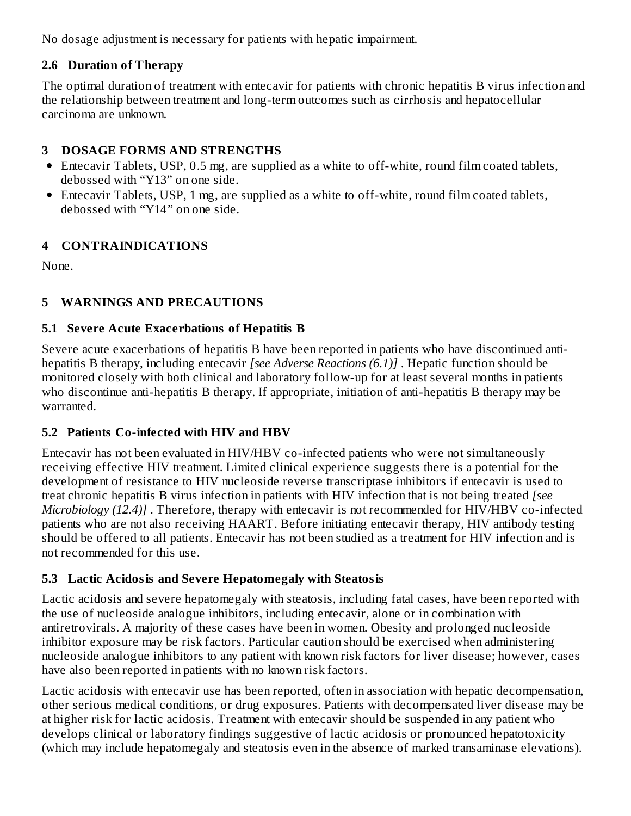No dosage adjustment is necessary for patients with hepatic impairment.

# **2.6 Duration of Therapy**

The optimal duration of treatment with entecavir for patients with chronic hepatitis B virus infection and the relationship between treatment and long-term outcomes such as cirrhosis and hepatocellular carcinoma are unknown.

## **3 DOSAGE FORMS AND STRENGTHS**

- Entecavir Tablets, USP, 0.5 mg, are supplied as a white to off-white, round film coated tablets, debossed with "Y13" on one side.
- Entecavir Tablets, USP, 1 mg, are supplied as a white to off-white, round film coated tablets, debossed with "Y14" on one side.

# **4 CONTRAINDICATIONS**

None.

# **5 WARNINGS AND PRECAUTIONS**

## **5.1 Severe Acute Exacerbations of Hepatitis B**

Severe acute exacerbations of hepatitis B have been reported in patients who have discontinued antihepatitis B therapy, including entecavir *[see Adverse Reactions (6.1)]* . Hepatic function should be monitored closely with both clinical and laboratory follow-up for at least several months in patients who discontinue anti-hepatitis B therapy. If appropriate, initiation of anti-hepatitis B therapy may be warranted.

# **5.2 Patients Co-infected with HIV and HBV**

Entecavir has not been evaluated in HIV/HBV co-infected patients who were not simultaneously receiving effective HIV treatment. Limited clinical experience suggests there is a potential for the development of resistance to HIV nucleoside reverse transcriptase inhibitors if entecavir is used to treat chronic hepatitis B virus infection in patients with HIV infection that is not being treated *[see Microbiology (12.4)]* . Therefore, therapy with entecavir is not recommended for HIV/HBV co-infected patients who are not also receiving HAART. Before initiating entecavir therapy, HIV antibody testing should be offered to all patients. Entecavir has not been studied as a treatment for HIV infection and is not recommended for this use.

### **5.3 Lactic Acidosis and Severe Hepatomegaly with Steatosis**

Lactic acidosis and severe hepatomegaly with steatosis, including fatal cases, have been reported with the use of nucleoside analogue inhibitors, including entecavir, alone or in combination with antiretrovirals. A majority of these cases have been in women. Obesity and prolonged nucleoside inhibitor exposure may be risk factors. Particular caution should be exercised when administering nucleoside analogue inhibitors to any patient with known risk factors for liver disease; however, cases have also been reported in patients with no known risk factors.

Lactic acidosis with entecavir use has been reported, often in association with hepatic decompensation, other serious medical conditions, or drug exposures. Patients with decompensated liver disease may be at higher risk for lactic acidosis. Treatment with entecavir should be suspended in any patient who develops clinical or laboratory findings suggestive of lactic acidosis or pronounced hepatotoxicity (which may include hepatomegaly and steatosis even in the absence of marked transaminase elevations).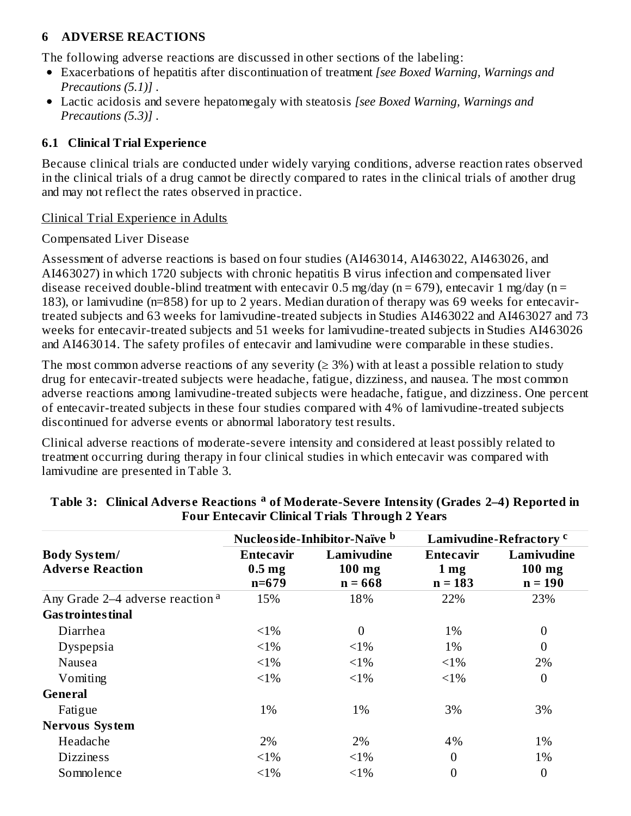## **6 ADVERSE REACTIONS**

The following adverse reactions are discussed in other sections of the labeling:

- Exacerbations of hepatitis after discontinuation of treatment *[see Boxed Warning, Warnings and Precautions (5.1)]* .
- Lactic acidosis and severe hepatomegaly with steatosis *[see Boxed Warning, Warnings and Precautions (5.3)]* .

### **6.1 Clinical Trial Experience**

Because clinical trials are conducted under widely varying conditions, adverse reaction rates observed in the clinical trials of a drug cannot be directly compared to rates in the clinical trials of another drug and may not reflect the rates observed in practice.

#### Clinical Trial Experience in Adults

#### Compensated Liver Disease

Assessment of adverse reactions is based on four studies (AI463014, AI463022, AI463026, and AI463027) in which 1720 subjects with chronic hepatitis B virus infection and compensated liver disease received double-blind treatment with entecavir 0.5 mg/day ( $n = 679$ ), entecavir 1 mg/day ( $n =$ 183), or lamivudine (n=858) for up to 2 years. Median duration of therapy was 69 weeks for entecavirtreated subjects and 63 weeks for lamivudine-treated subjects in Studies AI463022 and AI463027 and 73 weeks for entecavir-treated subjects and 51 weeks for lamivudine-treated subjects in Studies AI463026 and AI463014. The safety profiles of entecavir and lamivudine were comparable in these studies.

The most common adverse reactions of any severity ( $\geq$  3%) with at least a possible relation to study drug for entecavir-treated subjects were headache, fatigue, dizziness, and nausea. The most common adverse reactions among lamivudine-treated subjects were headache, fatigue, and dizziness. One percent of entecavir-treated subjects in these four studies compared with 4% of lamivudine-treated subjects discontinued for adverse events or abnormal laboratory test results.

Clinical adverse reactions of moderate-severe intensity and considered at least possibly related to treatment occurring during therapy in four clinical studies in which entecavir was compared with lamivudine are presented in Table 3.

|                                                |                                             | Nucleoside-Inhibitor-Naïve b        |                                                  | Lamivudine-Refractory <sup>c</sup>  |
|------------------------------------------------|---------------------------------------------|-------------------------------------|--------------------------------------------------|-------------------------------------|
| <b>Body System/</b><br><b>Adverse Reaction</b> | Entecavir<br>0.5 <sub>mg</sub><br>$n = 679$ | Lamivudine<br>$100$ mg<br>$n = 668$ | <b>Entecavir</b><br>1 <sub>mg</sub><br>$n = 183$ | Lamivudine<br>$100$ mg<br>$n = 190$ |
| Any Grade 2–4 adverse reaction <sup>a</sup>    | 15%                                         | 18%                                 | 22%                                              | 23%                                 |
| <b>Gas trointes tinal</b>                      |                                             |                                     |                                                  |                                     |
| Diarrhea                                       | $<1\%$                                      | $\theta$                            | 1%                                               | $\boldsymbol{0}$                    |
| Dyspepsia                                      | $<1\%$                                      | $<1\%$                              | 1%                                               | $\boldsymbol{0}$                    |
| Nausea                                         | $<1\%$                                      | $<1\%$                              | $<1\%$                                           | 2%                                  |
| Vomiting                                       | $<1\%$                                      | $<1\%$                              | $<1\%$                                           | $\boldsymbol{0}$                    |
| <b>General</b>                                 |                                             |                                     |                                                  |                                     |
| Fatigue                                        | 1%                                          | 1%                                  | 3%                                               | 3%                                  |
| <b>Nervous System</b>                          |                                             |                                     |                                                  |                                     |
| Headache                                       | 2%                                          | 2%                                  | 4%                                               | 1%                                  |
| <b>Dizziness</b>                               | $<1\%$                                      | $<1\%$                              | $\boldsymbol{0}$                                 | 1%                                  |
| Somnolence                                     | $<1\%$                                      | $<1\%$                              | 0                                                | $\boldsymbol{0}$                    |

#### **Table 3: Clinical Advers e Reactions of Moderate-Severe Intensity (Grades 2–4) Reported in a Four Entecavir Clinical Trials Through 2 Years**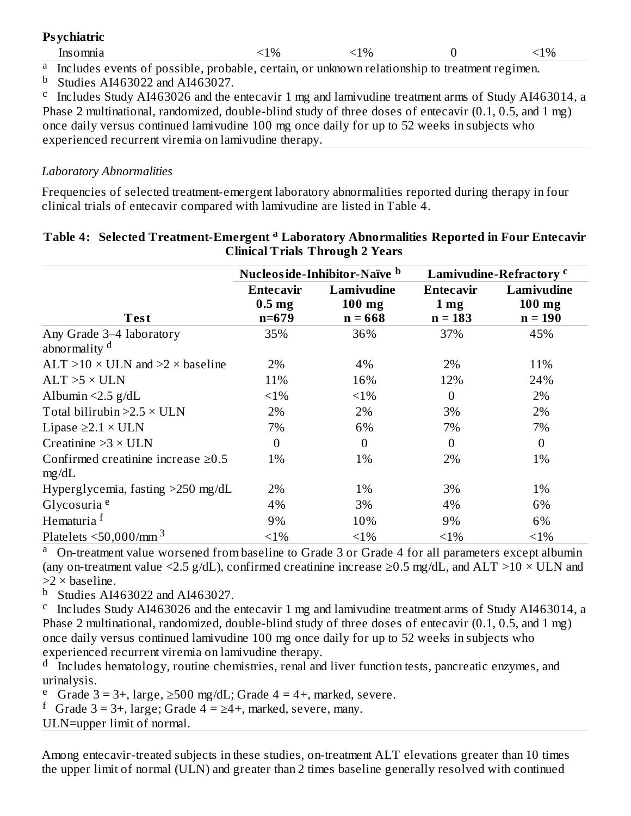| <b>Psychiatric</b>                                                                                         |         |          |          |
|------------------------------------------------------------------------------------------------------------|---------|----------|----------|
| Insomnia                                                                                                   | $< 1\%$ | ${<}1\%$ | ${<}1\%$ |
| <sup>a</sup> Includes events of possible, probable, certain, or unknown relationship to treatment regimen. |         |          |          |

 $<sup>b</sup>$  Studies AI463022 and AI463027.</sup>

<sup>c</sup> Includes Study AI463026 and the entecavir 1 mg and lamivudine treatment arms of Study AI463014, a Phase 2 multinational, randomized, double-blind study of three doses of entecavir (0.1, 0.5, and 1 mg) once daily versus continued lamivudine 100 mg once daily for up to 52 weeks in subjects who experienced recurrent viremia on lamivudine therapy.

# *Laboratory Abnormalities*

Frequencies of selected treatment-emergent laboratory abnormalities reported during therapy in four clinical trials of entecavir compared with lamivudine are listed in Table 4.

|                                                      |                                             | Nucleoside-Inhibitor-Naïve b        |                                           | Lamivudine-Refractory <sup>c</sup>  |
|------------------------------------------------------|---------------------------------------------|-------------------------------------|-------------------------------------------|-------------------------------------|
| <b>Test</b>                                          | Entecavir<br>0.5 <sub>mg</sub><br>$n = 679$ | Lamivudine<br>$100$ mg<br>$n = 668$ | Entecavir<br>1 <sub>mg</sub><br>$n = 183$ | Lamivudine<br>$100$ mg<br>$n = 190$ |
| Any Grade 3-4 laboratory<br>abnormality <sup>d</sup> | 35%                                         | 36%                                 | 37%                                       | 45%                                 |
| $ALT > 10 \times ULN$ and $>2 \times$ baseline       | 2%                                          | 4%                                  | 2%                                        | 11%                                 |
| $ALT > 5 \times ULN$                                 | 11%                                         | 16%                                 | 12%                                       | 24%                                 |
| Albumin $\leq$ 2.5 g/dL                              | $<1\%$                                      | $<1\%$                              | $\overline{0}$                            | 2%                                  |
| Total bilirubin $>2.5 \times ULN$                    | 2%                                          | 2%                                  | 3%                                        | 2%                                  |
| Lipase $\geq$ 2.1 × ULN                              | 7%                                          | 6%                                  | 7%                                        | 7%                                  |
| Creatinine $>3 \times$ ULN                           | $\overline{0}$                              | $\overline{0}$                      | $\overline{0}$                            | $\overline{0}$                      |
| Confirmed creatinine increase $\geq 0.5$<br>mg/dL    | 1%                                          | 1%                                  | 2%                                        | 1%                                  |
| Hyperglycemia, fasting >250 mg/dL                    | 2%                                          | 1%                                  | 3%                                        | 1%                                  |
| Glycosuria <sup>e</sup>                              | 4%                                          | 3%                                  | 4%                                        | 6%                                  |
| Hematuria <sup>f</sup>                               | 9%                                          | 10%                                 | 9%                                        | 6%                                  |
| Platelets $\leq 50,000$ /mm <sup>3</sup>             | $<1\%$                                      | $<1\%$                              | $<1\%$                                    | $<1\%$                              |

#### **Table 4: Selected Treatment-Emergent Laboratory Abnormalities Reported in Four Entecavir a Clinical Trials Through 2 Years**

On-treatment value worsened from baseline to Grade 3 or Grade 4 for all parameters except albumin (any on-treatment value <2.5 g/dL), confirmed creatinine increase  $\geq$ 0.5 mg/dL, and ALT >10  $\times$  ULN and  $>2 \times$  baseline. a

Studies AI463022 and AI463027. b

<sup>c</sup> Includes Study AI463026 and the entecavir 1 mg and lamivudine treatment arms of Study AI463014, a Phase 2 multinational, randomized, double-blind study of three doses of entecavir (0.1, 0.5, and 1 mg) once daily versus continued lamivudine 100 mg once daily for up to 52 weeks in subjects who experienced recurrent viremia on lamivudine therapy.

<sup>d</sup> Includes hematology, routine chemistries, renal and liver function tests, pancreatic enzymes, and urinalysis.

<sup>e</sup> Grade 3 = 3+, large, ≥500 mg/dL; Grade 4 = 4+, marked, severe.

f Grade  $3 = 3+$ , large; Grade  $4 = \ge 4+$ , marked, severe, many.

ULN=upper limit of normal.

Among entecavir-treated subjects in these studies, on-treatment ALT elevations greater than 10 times the upper limit of normal (ULN) and greater than 2 times baseline generally resolved with continued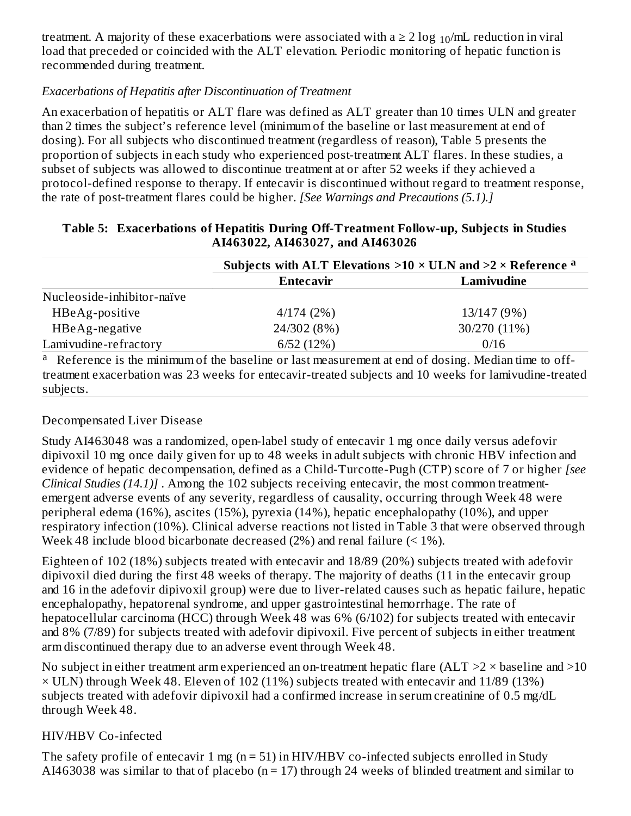treatment. A majority of these exacerbations were associated with a  $\geq 2 \log_{10}$ /mL reduction in viral load that preceded or coincided with the ALT elevation. Periodic monitoring of hepatic function is recommended during treatment.

# *Exacerbations of Hepatitis after Discontinuation of Treatment*

An exacerbation of hepatitis or ALT flare was defined as ALT greater than 10 times ULN and greater than 2 times the subject's reference level (minimum of the baseline or last measurement at end of dosing). For all subjects who discontinued treatment (regardless of reason), Table 5 presents the proportion of subjects in each study who experienced post-treatment ALT flares. In these studies, a subset of subjects was allowed to discontinue treatment at or after 52 weeks if they achieved a protocol-defined response to therapy. If entecavir is discontinued without regard to treatment response, the rate of post-treatment flares could be higher. *[See Warnings and Precautions (5.1).]*

| <b>Entecavir</b> | Lamivudine                                                                                                                                                                                                                                                                                                      |
|------------------|-----------------------------------------------------------------------------------------------------------------------------------------------------------------------------------------------------------------------------------------------------------------------------------------------------------------|
|                  |                                                                                                                                                                                                                                                                                                                 |
|                  |                                                                                                                                                                                                                                                                                                                 |
| 4/174(2%)        | 13/147 (9%)                                                                                                                                                                                                                                                                                                     |
| 24/302 (8%)      | 30/270 (11%)                                                                                                                                                                                                                                                                                                    |
| 6/52(12%)        | 0/16                                                                                                                                                                                                                                                                                                            |
|                  | $\mathbf{a}$ , $\mathbf{n}$ , $\mathbf{f}$ , $\mathbf{a}$ , $\mathbf{b}$ , $\mathbf{a}$ , $\mathbf{b}$ , $\mathbf{b}$ , $\mathbf{b}$ , $\mathbf{b}$ , $\mathbf{b}$ , $\mathbf{b}$ , $\mathbf{b}$ , $\mathbf{b}$ , $\mathbf{b}$ , $\mathbf{b}$ , $\mathbf{c}$ , $\mathbf{b}$ , $\mathbf{c}$ , $\mathbf{c}$ , $\$ |

#### **Table 5: Exacerbations of Hepatitis During Off-Treatment Follow-up, Subjects in Studies AI463022, AI463027, and AI463026**

<sup>a</sup> Reference is the minimum of the baseline or last measurement at end of dosing. Median time to offtreatment exacerbation was 23 weeks for entecavir-treated subjects and 10 weeks for lamivudine-treated subjects.

# Decompensated Liver Disease

Study AI463048 was a randomized, open-label study of entecavir 1 mg once daily versus adefovir dipivoxil 10 mg once daily given for up to 48 weeks in adult subjects with chronic HBV infection and evidence of hepatic decompensation, defined as a Child-Turcotte-Pugh (CTP) score of 7 or higher *[see Clinical Studies (14.1)]* . Among the 102 subjects receiving entecavir, the most common treatmentemergent adverse events of any severity, regardless of causality, occurring through Week 48 were peripheral edema (16%), ascites (15%), pyrexia (14%), hepatic encephalopathy (10%), and upper respiratory infection (10%). Clinical adverse reactions not listed in Table 3 that were observed through Week 48 include blood bicarbonate decreased (2%) and renal failure (< 1%).

Eighteen of 102 (18%) subjects treated with entecavir and 18/89 (20%) subjects treated with adefovir dipivoxil died during the first 48 weeks of therapy. The majority of deaths (11 in the entecavir group and 16 in the adefovir dipivoxil group) were due to liver-related causes such as hepatic failure, hepatic encephalopathy, hepatorenal syndrome, and upper gastrointestinal hemorrhage. The rate of hepatocellular carcinoma (HCC) through Week 48 was 6% (6/102) for subjects treated with entecavir and 8% (7/89) for subjects treated with adefovir dipivoxil. Five percent of subjects in either treatment arm discontinued therapy due to an adverse event through Week 48.

No subject in either treatment arm experienced an on-treatment hepatic flare (ALT  $>2 \times$  baseline and  $>10$  $\times$  ULN) through Week 48. Eleven of 102 (11%) subjects treated with entecavir and 11/89 (13%) subjects treated with adefovir dipivoxil had a confirmed increase in serum creatinine of 0.5 mg/dL through Week 48.

### HIV/HBV Co-infected

The safety profile of entecavir 1 mg (n = 51) in HIV/HBV co-infected subjects enrolled in Study AI463038 was similar to that of placebo ( $n = 17$ ) through 24 weeks of blinded treatment and similar to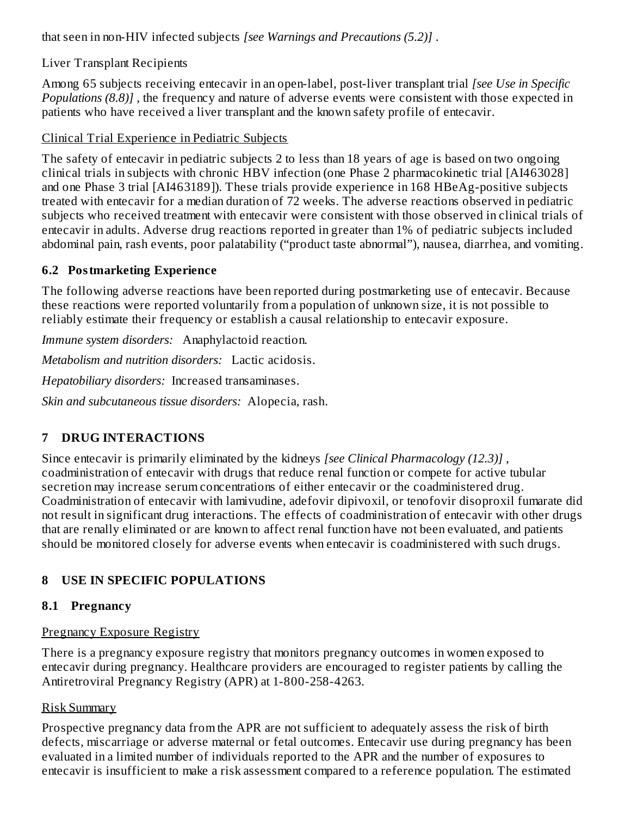that seen in non-HIV infected subjects *[see Warnings and Precautions (5.2)]* .

# Liver Transplant Recipients

Among 65 subjects receiving entecavir in an open-label, post-liver transplant trial *[see Use in Specific Populations (8.8)]* , the frequency and nature of adverse events were consistent with those expected in patients who have received a liver transplant and the known safety profile of entecavir.

### Clinical Trial Experience in Pediatric Subjects

The safety of entecavir in pediatric subjects 2 to less than 18 years of age is based on two ongoing clinical trials in subjects with chronic HBV infection (one Phase 2 pharmacokinetic trial [AI463028] and one Phase 3 trial [AI463189]). These trials provide experience in 168 HBeAg-positive subjects treated with entecavir for a median duration of 72 weeks. The adverse reactions observed in pediatric subjects who received treatment with entecavir were consistent with those observed in clinical trials of entecavir in adults. Adverse drug reactions reported in greater than 1% of pediatric subjects included abdominal pain, rash events, poor palatability ("product taste abnormal"), nausea, diarrhea, and vomiting.

## **6.2 Postmarketing Experience**

The following adverse reactions have been reported during postmarketing use of entecavir. Because these reactions were reported voluntarily from a population of unknown size, it is not possible to reliably estimate their frequency or establish a causal relationship to entecavir exposure.

*Immune system disorders:* Anaphylactoid reaction.

*Metabolism and nutrition disorders:* Lactic acidosis.

*Hepatobiliary disorders:* Increased transaminases.

*Skin and subcutaneous tissue disorders:* Alopecia, rash.

# **7 DRUG INTERACTIONS**

Since entecavir is primarily eliminated by the kidneys *[see Clinical Pharmacology (12.3)]* , coadministration of entecavir with drugs that reduce renal function or compete for active tubular secretion may increase serum concentrations of either entecavir or the coadministered drug. Coadministration of entecavir with lamivudine, adefovir dipivoxil, or tenofovir disoproxil fumarate did not result in significant drug interactions. The effects of coadministration of entecavir with other drugs that are renally eliminated or are known to affect renal function have not been evaluated, and patients should be monitored closely for adverse events when entecavir is coadministered with such drugs.

# **8 USE IN SPECIFIC POPULATIONS**

### **8.1 Pregnancy**

### Pregnancy Exposure Registry

There is a pregnancy exposure registry that monitors pregnancy outcomes in women exposed to entecavir during pregnancy. Healthcare providers are encouraged to register patients by calling the Antiretroviral Pregnancy Registry (APR) at 1-800-258-4263.

### Risk Summary

Prospective pregnancy data from the APR are not sufficient to adequately assess the risk of birth defects, miscarriage or adverse maternal or fetal outcomes. Entecavir use during pregnancy has been evaluated in a limited number of individuals reported to the APR and the number of exposures to entecavir is insufficient to make a risk assessment compared to a reference population. The estimated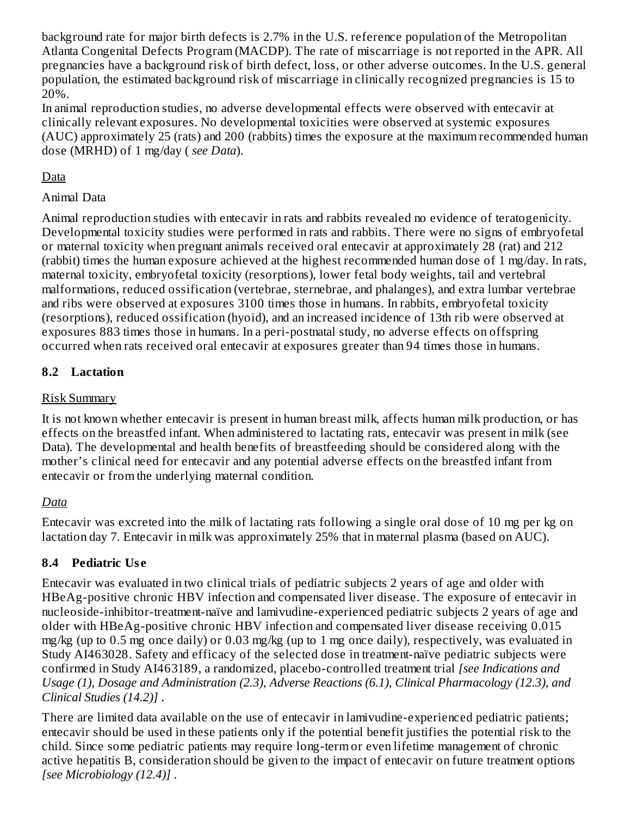background rate for major birth defects is 2.7% in the U.S. reference population of the Metropolitan Atlanta Congenital Defects Program (MACDP). The rate of miscarriage is not reported in the APR. All pregnancies have a background risk of birth defect, loss, or other adverse outcomes. In the U.S. general population, the estimated background risk of miscarriage in clinically recognized pregnancies is 15 to 20%.

In animal reproduction studies, no adverse developmental effects were observed with entecavir at clinically relevant exposures. No developmental toxicities were observed at systemic exposures (AUC) approximately 25 (rats) and 200 (rabbits) times the exposure at the maximum recommended human dose (MRHD) of 1 mg/day ( *see Data*).

# Data

# Animal Data

Animal reproduction studies with entecavir in rats and rabbits revealed no evidence of teratogenicity. Developmental toxicity studies were performed in rats and rabbits. There were no signs of embryofetal or maternal toxicity when pregnant animals received oral entecavir at approximately 28 (rat) and 212 (rabbit) times the human exposure achieved at the highest recommended human dose of 1 mg/day. In rats, maternal toxicity, embryofetal toxicity (resorptions), lower fetal body weights, tail and vertebral malformations, reduced ossification (vertebrae, sternebrae, and phalanges), and extra lumbar vertebrae and ribs were observed at exposures 3100 times those in humans. In rabbits, embryofetal toxicity (resorptions), reduced ossification (hyoid), and an increased incidence of 13th rib were observed at exposures 883 times those in humans. In a peri-postnatal study, no adverse effects on offspring occurred when rats received oral entecavir at exposures greater than 94 times those in humans.

# **8.2 Lactation**

# Risk Summary

It is not known whether entecavir is present in human breast milk, affects human milk production, or has effects on the breastfed infant. When administered to lactating rats, entecavir was present in milk (see Data). The developmental and health benefits of breastfeeding should be considered along with the mother's clinical need for entecavir and any potential adverse effects on the breastfed infant from entecavir or from the underlying maternal condition.

# *Data*

Entecavir was excreted into the milk of lactating rats following a single oral dose of 10 mg per kg on lactation day 7. Entecavir in milk was approximately 25% that in maternal plasma (based on AUC).

# **8.4 Pediatric Us e**

Entecavir was evaluated in two clinical trials of pediatric subjects 2 years of age and older with HBeAg-positive chronic HBV infection and compensated liver disease. The exposure of entecavir in nucleoside-inhibitor-treatment-naïve and lamivudine-experienced pediatric subjects 2 years of age and older with HBeAg-positive chronic HBV infection and compensated liver disease receiving 0.015 mg/kg (up to 0.5 mg once daily) or 0.03 mg/kg (up to 1 mg once daily), respectively, was evaluated in Study AI463028. Safety and efficacy of the selected dose in treatment-naïve pediatric subjects were confirmed in Study AI463189, a randomized, placebo-controlled treatment trial *[see Indications and Usage (1), Dosage and Administration (2.3), Adverse Reactions (6.1), Clinical Pharmacology (12.3), and Clinical Studies (14.2)]* .

There are limited data available on the use of entecavir in lamivudine-experienced pediatric patients; entecavir should be used in these patients only if the potential benefit justifies the potential risk to the child. Since some pediatric patients may require long-term or even lifetime management of chronic active hepatitis B, consideration should be given to the impact of entecavir on future treatment options *[see Microbiology (12.4)]* .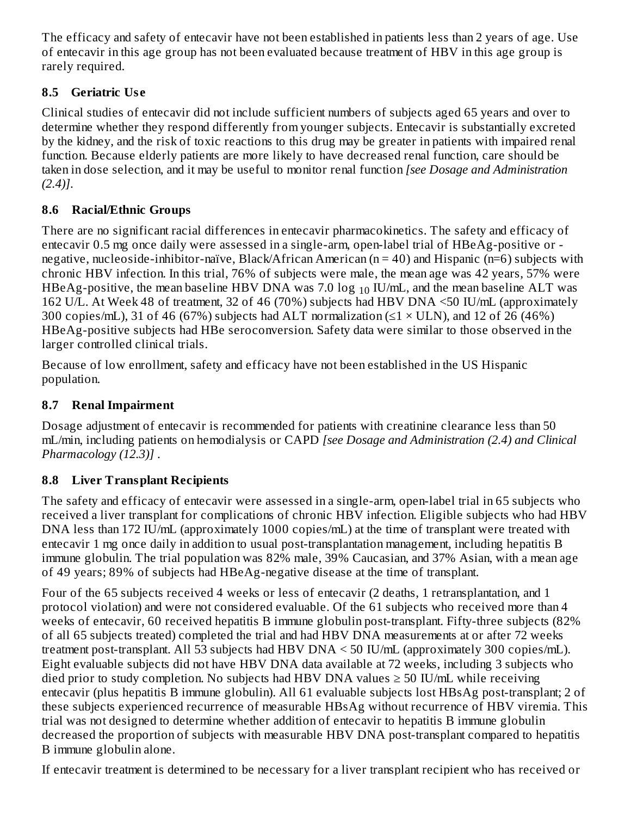The efficacy and safety of entecavir have not been established in patients less than 2 years of age. Use of entecavir in this age group has not been evaluated because treatment of HBV in this age group is rarely required.

# **8.5 Geriatric Us e**

Clinical studies of entecavir did not include sufficient numbers of subjects aged 65 years and over to determine whether they respond differently from younger subjects. Entecavir is substantially excreted by the kidney, and the risk of toxic reactions to this drug may be greater in patients with impaired renal function. Because elderly patients are more likely to have decreased renal function, care should be taken in dose selection, and it may be useful to monitor renal function *[see Dosage and Administration (2.4)]*.

# **8.6 Racial/Ethnic Groups**

There are no significant racial differences in entecavir pharmacokinetics. The safety and efficacy of entecavir 0.5 mg once daily were assessed in a single-arm, open-label trial of HBeAg-positive or negative, nucleoside-inhibitor-naïve, Black/African American (n = 40) and Hispanic (n=6) subjects with chronic HBV infection. In this trial, 76% of subjects were male, the mean age was 42 years, 57% were HBeAg-positive, the mean baseline HBV DNA was 7.0  $\log_{10}$  IU/mL, and the mean baseline ALT was 162 U/L. At Week 48 of treatment, 32 of 46 (70%) subjects had HBV DNA <50 IU/mL (approximately 300 copies/mL), 31 of 46 (67%) subjects had ALT normalization ( $\leq$ 1 × ULN), and 12 of 26 (46%) HBeAg-positive subjects had HBe seroconversion. Safety data were similar to those observed in the larger controlled clinical trials.

Because of low enrollment, safety and efficacy have not been established in the US Hispanic population.

# **8.7 Renal Impairment**

Dosage adjustment of entecavir is recommended for patients with creatinine clearance less than 50 mL/min, including patients on hemodialysis or CAPD *[see Dosage and Administration (2.4) and Clinical Pharmacology (12.3)]* .

# **8.8 Liver Transplant Recipients**

The safety and efficacy of entecavir were assessed in a single-arm, open-label trial in 65 subjects who received a liver transplant for complications of chronic HBV infection. Eligible subjects who had HBV DNA less than 172 IU/mL (approximately 1000 copies/mL) at the time of transplant were treated with entecavir 1 mg once daily in addition to usual post-transplantation management, including hepatitis B immune globulin. The trial population was 82% male, 39% Caucasian, and 37% Asian, with a mean age of 49 years; 89% of subjects had HBeAg-negative disease at the time of transplant.

Four of the 65 subjects received 4 weeks or less of entecavir (2 deaths, 1 retransplantation, and 1 protocol violation) and were not considered evaluable. Of the 61 subjects who received more than 4 weeks of entecavir, 60 received hepatitis B immune globulin post-transplant. Fifty-three subjects (82% of all 65 subjects treated) completed the trial and had HBV DNA measurements at or after 72 weeks treatment post-transplant. All 53 subjects had HBV DNA < 50 IU/mL (approximately 300 copies/mL). Eight evaluable subjects did not have HBV DNA data available at 72 weeks, including 3 subjects who died prior to study completion. No subjects had HBV DNA values  $\geq$  50 IU/mL while receiving entecavir (plus hepatitis B immune globulin). All 61 evaluable subjects lost HBsAg post-transplant; 2 of these subjects experienced recurrence of measurable HBsAg without recurrence of HBV viremia. This trial was not designed to determine whether addition of entecavir to hepatitis B immune globulin decreased the proportion of subjects with measurable HBV DNA post-transplant compared to hepatitis B immune globulin alone.

If entecavir treatment is determined to be necessary for a liver transplant recipient who has received or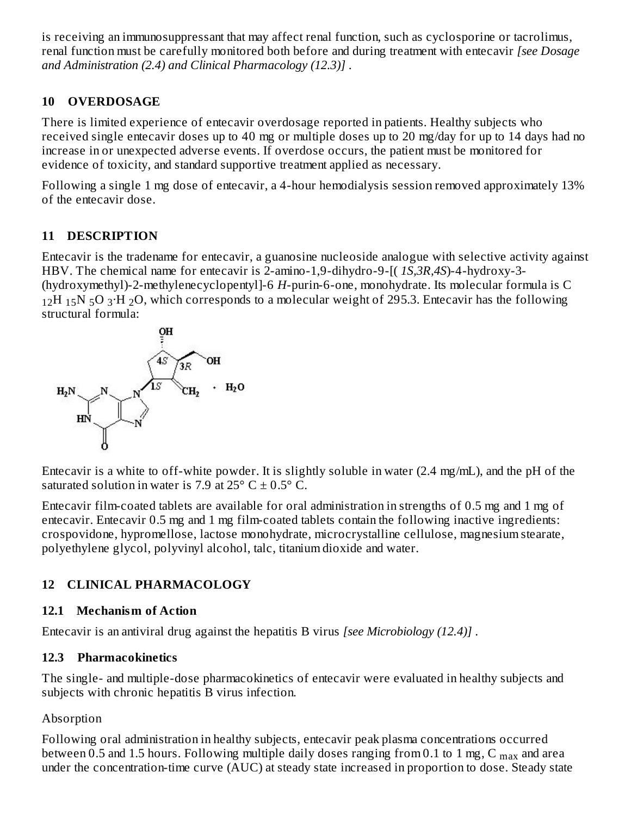is receiving an immunosuppressant that may affect renal function, such as cyclosporine or tacrolimus, renal function must be carefully monitored both before and during treatment with entecavir *[see Dosage and Administration (2.4) and Clinical Pharmacology (12.3)]* .

# **10 OVERDOSAGE**

There is limited experience of entecavir overdosage reported in patients. Healthy subjects who received single entecavir doses up to 40 mg or multiple doses up to 20 mg/day for up to 14 days had no increase in or unexpected adverse events. If overdose occurs, the patient must be monitored for evidence of toxicity, and standard supportive treatment applied as necessary.

Following a single 1 mg dose of entecavir, a 4-hour hemodialysis session removed approximately 13% of the entecavir dose.

# **11 DESCRIPTION**

Entecavir is the tradename for entecavir, a guanosine nucleoside analogue with selective activity against HBV. The chemical name for entecavir is 2-amino-1,9-dihydro-9-[( *1S,3R,4S*)-4-hydroxy-3- (hydroxymethyl)-2-methylenecyclopentyl]-6 *H*-purin-6-one, monohydrate. Its molecular formula is C  $_{12}$ H  $_{15}$ N  $_{5}$ O  $_{3}$ ·H  $_{2}$ O, which corresponds to a molecular weight of 295.3. Entecavir has the following structural formula:



Entecavir is a white to off-white powder. It is slightly soluble in water (2.4 mg/mL), and the pH of the saturated solution in water is 7.9 at 25 $\degree$  C  $\pm$  0.5 $\degree$  C.

Entecavir film-coated tablets are available for oral administration in strengths of 0.5 mg and 1 mg of entecavir. Entecavir 0.5 mg and 1 mg film-coated tablets contain the following inactive ingredients: crospovidone, hypromellose, lactose monohydrate, microcrystalline cellulose, magnesium stearate, polyethylene glycol, polyvinyl alcohol, talc, titanium dioxide and water.

# **12 CLINICAL PHARMACOLOGY**

# **12.1 Mechanism of Action**

Entecavir is an antiviral drug against the hepatitis B virus *[see Microbiology (12.4)]* .

# **12.3 Pharmacokinetics**

The single- and multiple-dose pharmacokinetics of entecavir were evaluated in healthy subjects and subjects with chronic hepatitis B virus infection.

# Absorption

Following oral administration in healthy subjects, entecavir peak plasma concentrations occurred between 0.5 and 1.5 hours. Following multiple daily doses ranging from 0.1 to 1 mg, C  $_{\rm max}$  and area under the concentration-time curve (AUC) at steady state increased in proportion to dose. Steady state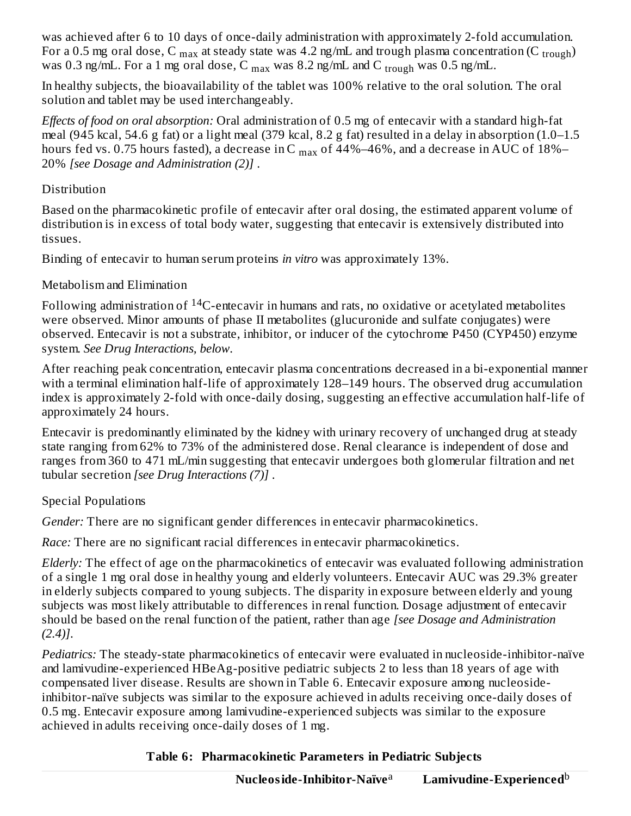was achieved after 6 to 10 days of once-daily administration with approximately 2-fold accumulation. For a 0.5 mg oral dose, C  $_{\rm max}$  at steady state was 4.2 ng/mL and trough plasma concentration (C  $_{\rm trough}$ ) was 0.3 ng/mL. For a 1 mg oral dose, C  $_{\rm max}$  was 8.2 ng/mL and C  $_{\rm trough}$  was 0.5 ng/mL.

In healthy subjects, the bioavailability of the tablet was 100% relative to the oral solution. The oral solution and tablet may be used interchangeably.

*Effects of food on oral absorption:* Oral administration of 0.5 mg of entecavir with a standard high-fat meal (945 kcal, 54.6 g fat) or a light meal (379 kcal, 8.2 g fat) resulted in a delay in absorption (1.0–1.5 hours fed vs. 0.75 hours fasted), a decrease in C  $_{\rm max}$  of 44%–46%, and a decrease in AUC of 18%– 20% *[see Dosage and Administration (2)]* .

# Distribution

Based on the pharmacokinetic profile of entecavir after oral dosing, the estimated apparent volume of distribution is in excess of total body water, suggesting that entecavir is extensively distributed into tissues.

Binding of entecavir to human serum proteins *in vitro* was approximately 13%.

# Metabolism and Elimination

Following administration of  $^{14}$ C-entecavir in humans and rats, no oxidative or acetylated metabolites were observed. Minor amounts of phase II metabolites (glucuronide and sulfate conjugates) were observed. Entecavir is not a substrate, inhibitor, or inducer of the cytochrome P450 (CYP450) enzyme system. *See Drug Interactions, below.*

After reaching peak concentration, entecavir plasma concentrations decreased in a bi-exponential manner with a terminal elimination half-life of approximately 128–149 hours. The observed drug accumulation index is approximately 2-fold with once-daily dosing, suggesting an effective accumulation half-life of approximately 24 hours.

Entecavir is predominantly eliminated by the kidney with urinary recovery of unchanged drug at steady state ranging from 62% to 73% of the administered dose. Renal clearance is independent of dose and ranges from 360 to 471 mL/min suggesting that entecavir undergoes both glomerular filtration and net tubular secretion *[see Drug Interactions (7)]* .

# Special Populations

*Gender:* There are no significant gender differences in entecavir pharmacokinetics.

*Race:* There are no significant racial differences in entecavir pharmacokinetics.

*Elderly:* The effect of age on the pharmacokinetics of entecavir was evaluated following administration of a single 1 mg oral dose in healthy young and elderly volunteers. Entecavir AUC was 29.3% greater in elderly subjects compared to young subjects. The disparity in exposure between elderly and young subjects was most likely attributable to differences in renal function. Dosage adjustment of entecavir should be based on the renal function of the patient, rather than age *[see Dosage and Administration (2.4)]*.

*Pediatrics:* The steady-state pharmacokinetics of entecavir were evaluated in nucleoside-inhibitor-naïve and lamivudine-experienced HBeAg-positive pediatric subjects 2 to less than 18 years of age with compensated liver disease. Results are shown in Table 6. Entecavir exposure among nucleosideinhibitor-naïve subjects was similar to the exposure achieved in adults receiving once-daily doses of 0.5 mg. Entecavir exposure among lamivudine-experienced subjects was similar to the exposure achieved in adults receiving once-daily doses of 1 mg.

**Table 6: Pharmacokinetic Parameters in Pediatric Subjects**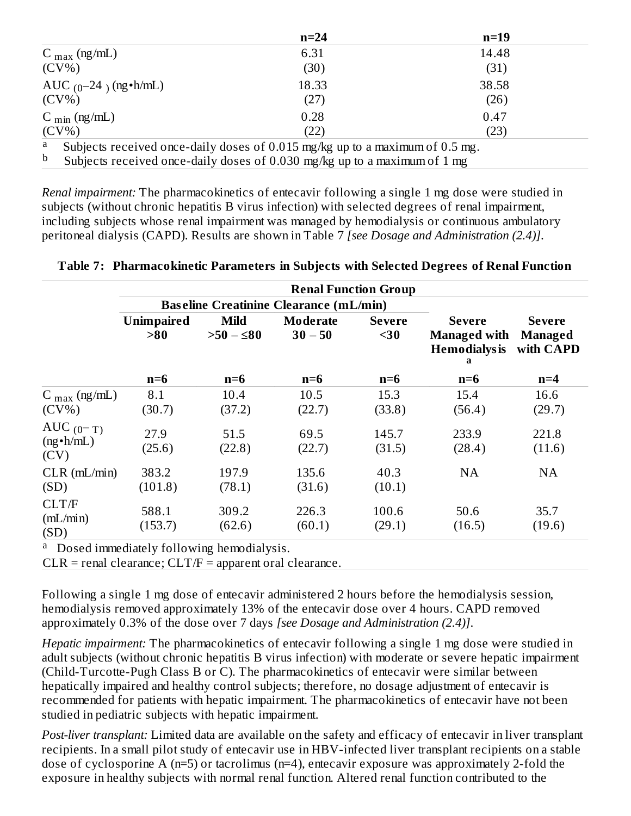|                                | $n=24$                                                                       | $n=19$ |
|--------------------------------|------------------------------------------------------------------------------|--------|
| $C_{\text{max}}$ (ng/mL)       | 6.31                                                                         | 14.48  |
| $(CV\%)$                       | (30)                                                                         | (31)   |
| AUC $_{(0}$ -24 $)$ (ng •h/mL) | 18.33                                                                        | 38.58  |
| $(CV\%)$                       | (27)                                                                         | (26)   |
| C $_{\text{min}}$ (ng/mL)      | 0.28                                                                         | 0.47   |
| $(CV\%)$                       | (22)                                                                         | (23)   |
| a                              | Subjects received once-daily doses of 0.015 mg/kg up to a maximum of 0.5 mg. |        |

Subjects received once-daily doses of 0.030 mg/kg up to a maximum of 1 mg b

*Renal impairment:* The pharmacokinetics of entecavir following a single 1 mg dose were studied in subjects (without chronic hepatitis B virus infection) with selected degrees of renal impairment, including subjects whose renal impairment was managed by hemodialysis or continuous ambulatory peritoneal dialysis (CAPD). Results are shown in Table 7 *[see Dosage and Administration (2.4)]*.

**Table 7: Pharmacokinetic Parameters in Subjects with Selected Degrees of Renal Function**

|                                          |                          |                            | <b>Renal Function Group</b>                   |                       |                                                                   |                                       |
|------------------------------------------|--------------------------|----------------------------|-----------------------------------------------|-----------------------|-------------------------------------------------------------------|---------------------------------------|
|                                          |                          |                            | <b>Baseline Creatinine Clearance (mL/min)</b> |                       |                                                                   |                                       |
|                                          | <b>Unimpaired</b><br>>80 | <b>Mild</b><br>$>50 - 580$ | <b>Moderate</b><br>$30 - 50$                  | <b>Severe</b><br>$30$ | <b>Severe</b><br><b>Managed with</b><br><b>Hemodialys is</b><br>a | <b>Severe</b><br>Managed<br>with CAPD |
|                                          | $n=6$                    | $n=6$                      | $n=6$                                         | $n=6$                 | $n=6$                                                             | $n=4$                                 |
| $C_{\text{max}}$ (ng/mL)<br>$(CV\%)$     | 8.1<br>(30.7)            | 10.4<br>(37.2)             | 10.5<br>(22.7)                                | 15.3<br>(33.8)        | 15.4<br>(56.4)                                                    | 16.6<br>(29.7)                        |
| AUC $(0-T)$<br>$(ng \cdot h/mL)$<br>(CV) | 27.9<br>(25.6)           | 51.5<br>(22.8)             | 69.5<br>(22.7)                                | 145.7<br>(31.5)       | 233.9<br>(28.4)                                                   | 221.8<br>(11.6)                       |
| $CLR$ ( $mL/min$ )<br>(SD)               | 383.2<br>(101.8)         | 197.9<br>(78.1)            | 135.6<br>(31.6)                               | 40.3<br>(10.1)        | NA                                                                | <b>NA</b>                             |
| CLT/F<br>(mL/min)<br>(SD)                | 588.1<br>(153.7)         | 309.2<br>(62.6)            | 226.3<br>(60.1)                               | 100.6<br>(29.1)       | 50.6<br>(16.5)                                                    | 35.7<br>(19.6)                        |

<sup>a</sup> Dosed immediately following hemodialysis.

 $CLR$  = renal clearance;  $CLT/F$  = apparent oral clearance.

Following a single 1 mg dose of entecavir administered 2 hours before the hemodialysis session, hemodialysis removed approximately 13% of the entecavir dose over 4 hours. CAPD removed approximately 0.3% of the dose over 7 days *[see Dosage and Administration (2.4)]*.

*Hepatic impairment:* The pharmacokinetics of entecavir following a single 1 mg dose were studied in adult subjects (without chronic hepatitis B virus infection) with moderate or severe hepatic impairment (Child-Turcotte-Pugh Class B or C). The pharmacokinetics of entecavir were similar between hepatically impaired and healthy control subjects; therefore, no dosage adjustment of entecavir is recommended for patients with hepatic impairment. The pharmacokinetics of entecavir have not been studied in pediatric subjects with hepatic impairment.

*Post-liver transplant:* Limited data are available on the safety and efficacy of entecavir in liver transplant recipients. In a small pilot study of entecavir use in HBV-infected liver transplant recipients on a stable dose of cyclosporine A (n=5) or tacrolimus (n=4), entecavir exposure was approximately 2-fold the exposure in healthy subjects with normal renal function. Altered renal function contributed to the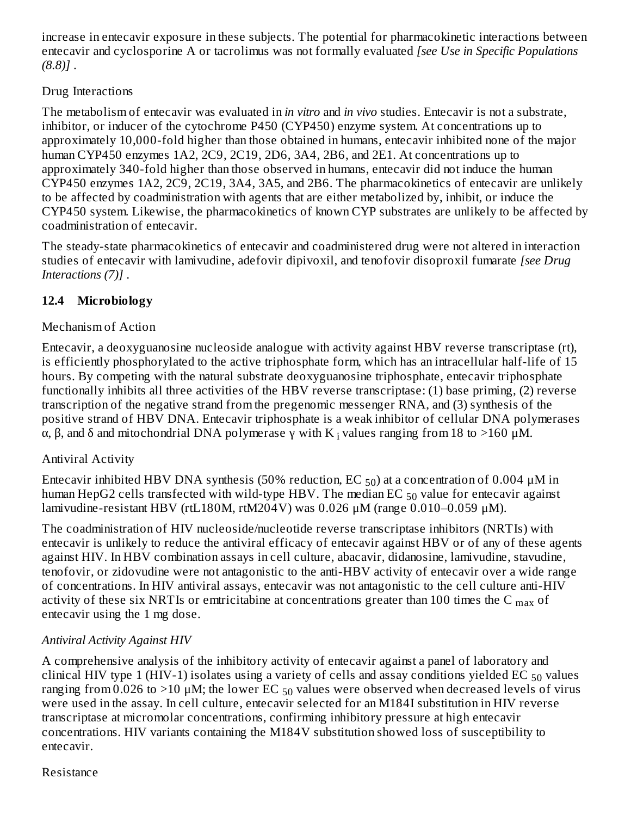increase in entecavir exposure in these subjects. The potential for pharmacokinetic interactions between entecavir and cyclosporine A or tacrolimus was not formally evaluated *[see Use in Specific Populations (8.8)]* .

# Drug Interactions

The metabolism of entecavir was evaluated in *in vitro* and *in vivo* studies. Entecavir is not a substrate, inhibitor, or inducer of the cytochrome P450 (CYP450) enzyme system. At concentrations up to approximately 10,000-fold higher than those obtained in humans, entecavir inhibited none of the major human CYP450 enzymes 1A2, 2C9, 2C19, 2D6, 3A4, 2B6, and 2E1. At concentrations up to approximately 340-fold higher than those observed in humans, entecavir did not induce the human CYP450 enzymes 1A2, 2C9, 2C19, 3A4, 3A5, and 2B6. The pharmacokinetics of entecavir are unlikely to be affected by coadministration with agents that are either metabolized by, inhibit, or induce the CYP450 system. Likewise, the pharmacokinetics of known CYP substrates are unlikely to be affected by coadministration of entecavir.

The steady-state pharmacokinetics of entecavir and coadministered drug were not altered in interaction studies of entecavir with lamivudine, adefovir dipivoxil, and tenofovir disoproxil fumarate *[see Drug Interactions (7)]* .

# **12.4 Microbiology**

## Mechanism of Action

Entecavir, a deoxyguanosine nucleoside analogue with activity against HBV reverse transcriptase (rt), is efficiently phosphorylated to the active triphosphate form, which has an intracellular half-life of 15 hours. By competing with the natural substrate deoxyguanosine triphosphate, entecavir triphosphate functionally inhibits all three activities of the HBV reverse transcriptase: (1) base priming, (2) reverse transcription of the negative strand from the pregenomic messenger RNA, and (3) synthesis of the positive strand of HBV DNA. Entecavir triphosphate is a weak inhibitor of cellular DNA polymerases α, β, and δ and mitochondrial DNA polymerase  $\gamma$  with K  $\chi$  values ranging from 18 to >160 μM.

### Antiviral Activity

Entecavir inhibited HBV DNA synthesis (50% reduction, EC  $_{50}$ ) at a concentration of 0.004  $\mu$ M in human HepG2 cells transfected with wild-type HBV. The median EC  $_{50}$  value for entecavir against lamivudine-resistant HBV (rtL180M, rtM204V) was 0.026  $\mu$ M (range 0.010–0.059  $\mu$ M).

The coadministration of HIV nucleoside/nucleotide reverse transcriptase inhibitors (NRTIs) with entecavir is unlikely to reduce the antiviral efficacy of entecavir against HBV or of any of these agents against HIV. In HBV combination assays in cell culture, abacavir, didanosine, lamivudine, stavudine, tenofovir, or zidovudine were not antagonistic to the anti-HBV activity of entecavir over a wide range of concentrations. In HIV antiviral assays, entecavir was not antagonistic to the cell culture anti-HIV activity of these six NRTIs or emtricitabine at concentrations greater than 100 times the C  $_{\rm max}$  of entecavir using the 1 mg dose.

# *Antiviral Activity Against HIV*

A comprehensive analysis of the inhibitory activity of entecavir against a panel of laboratory and clinical HIV type 1 (HIV-1) isolates using a variety of cells and assay conditions yielded EC  $_{50}$  values ranging from 0.026 to >10  $\mu$ M; the lower EC  $_{50}$  values were observed when decreased levels of virus were used in the assay. In cell culture, entecavir selected for an M184I substitution in HIV reverse transcriptase at micromolar concentrations, confirming inhibitory pressure at high entecavir concentrations. HIV variants containing the M184V substitution showed loss of susceptibility to entecavir.

#### Resistance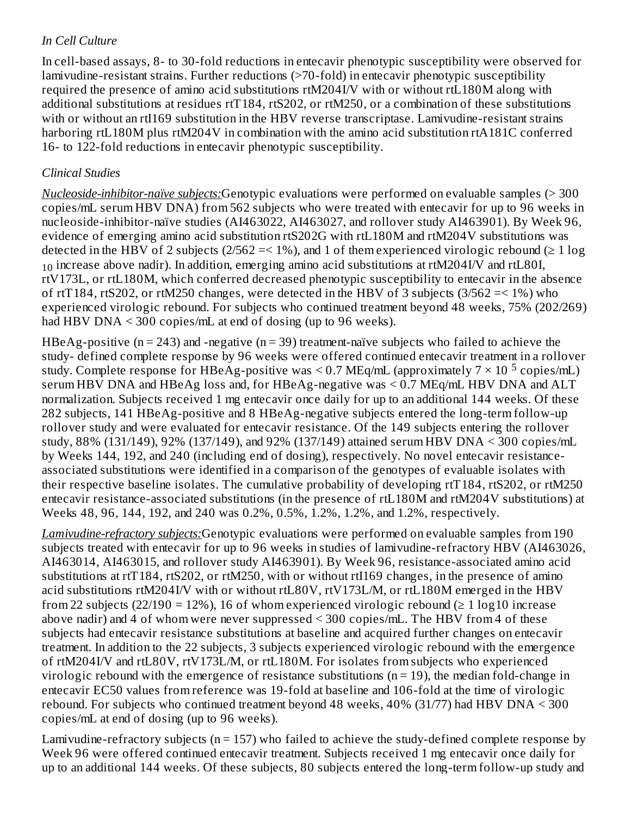# *In Cell Culture*

In cell-based assays, 8- to 30-fold reductions in entecavir phenotypic susceptibility were observed for lamivudine-resistant strains. Further reductions (>70-fold) in entecavir phenotypic susceptibility required the presence of amino acid substitutions rtM204I/V with or without rtL180M along with additional substitutions at residues rtT184, rtS202, or rtM250, or a combination of these substitutions with or without an rtI169 substitution in the HBV reverse transcriptase. Lamivudine-resistant strains harboring rtL180M plus rtM204V in combination with the amino acid substitution rtA181C conferred 16- to 122-fold reductions in entecavir phenotypic susceptibility.

# *Clinical Studies*

*Nucleoside-inhibitor-naïve subjects:*Genotypic evaluations were performed on evaluable samples (> 300 copies/mL serum HBV DNA) from 562 subjects who were treated with entecavir for up to 96 weeks in nucleoside-inhibitor-naïve studies (AI463022, AI463027, and rollover study AI463901). By Week 96, evidence of emerging amino acid substitution rtS202G with rtL180M and rtM204V substitutions was detected in the HBV of 2 subjects (2/562 = < 1%), and 1 of them experienced virologic rebound ( $\geq 1 \log$ )  $_{10}$  increase above nadir). In addition, emerging amino acid substitutions at rtM204I/V and rtL80I, rtV173L, or rtL180M, which conferred decreased phenotypic susceptibility to entecavir in the absence of rtT184, rtS202, or rtM250 changes, were detected in the HBV of 3 subjects  $(3/562 \le 1\%)$  who experienced virologic rebound. For subjects who continued treatment beyond 48 weeks, 75% (202/269) had HBV DNA < 300 copies/mL at end of dosing (up to 96 weeks).

HBeAg-positive ( $n = 243$ ) and -negative ( $n = 39$ ) treatment-naïve subjects who failed to achieve the study- defined complete response by 96 weeks were offered continued entecavir treatment in a rollover study. Complete response for HBeAg-positive was < 0.7 MEq/mL (approximately  $7 \times 10^{-5}$  copies/mL) serum HBV DNA and HBeAg loss and, for HBeAg-negative was < 0.7 MEq/mL HBV DNA and ALT normalization. Subjects received 1 mg entecavir once daily for up to an additional 144 weeks. Of these 282 subjects, 141 HBeAg-positive and 8 HBeAg-negative subjects entered the long-term follow-up rollover study and were evaluated for entecavir resistance. Of the 149 subjects entering the rollover study, 88% (131/149), 92% (137/149), and 92% (137/149) attained serum HBV DNA < 300 copies/mL by Weeks 144, 192, and 240 (including end of dosing), respectively. No novel entecavir resistanceassociated substitutions were identified in a comparison of the genotypes of evaluable isolates with their respective baseline isolates. The cumulative probability of developing rtT184, rtS202, or rtM250 entecavir resistance-associated substitutions (in the presence of rtL180M and rtM204V substitutions) at Weeks 48, 96, 144, 192, and 240 was 0.2%, 0.5%, 1.2%, 1.2%, and 1.2%, respectively.

*Lamivudine-refractory subjects:*Genotypic evaluations were performed on evaluable samples from 190 subjects treated with entecavir for up to 96 weeks in studies of lamivudine-refractory HBV (AI463026, AI463014, AI463015, and rollover study AI463901). By Week 96, resistance-associated amino acid substitutions at rtT184, rtS202, or rtM250, with or without rtI169 changes, in the presence of amino acid substitutions rtM204I/V with or without rtL80V, rtV173L/M, or rtL180M emerged in the HBV from 22 subjects (22/190 = 12%), 16 of whom experienced virologic rebound ( $\geq 1 \log 10$  increase above nadir) and 4 of whom were never suppressed < 300 copies/mL. The HBV from 4 of these subjects had entecavir resistance substitutions at baseline and acquired further changes on entecavir treatment. In addition to the 22 subjects, 3 subjects experienced virologic rebound with the emergence of rtM204I/V and rtL80V, rtV173L/M, or rtL180M. For isolates from subjects who experienced virologic rebound with the emergence of resistance substitutions ( $n = 19$ ), the median fold-change in entecavir EC50 values from reference was 19-fold at baseline and 106-fold at the time of virologic rebound. For subjects who continued treatment beyond 48 weeks, 40% (31/77) had HBV DNA < 300 copies/mL at end of dosing (up to 96 weeks).

Lamivudine-refractory subjects ( $n = 157$ ) who failed to achieve the study-defined complete response by Week 96 were offered continued entecavir treatment. Subjects received 1 mg entecavir once daily for up to an additional 144 weeks. Of these subjects, 80 subjects entered the long-term follow-up study and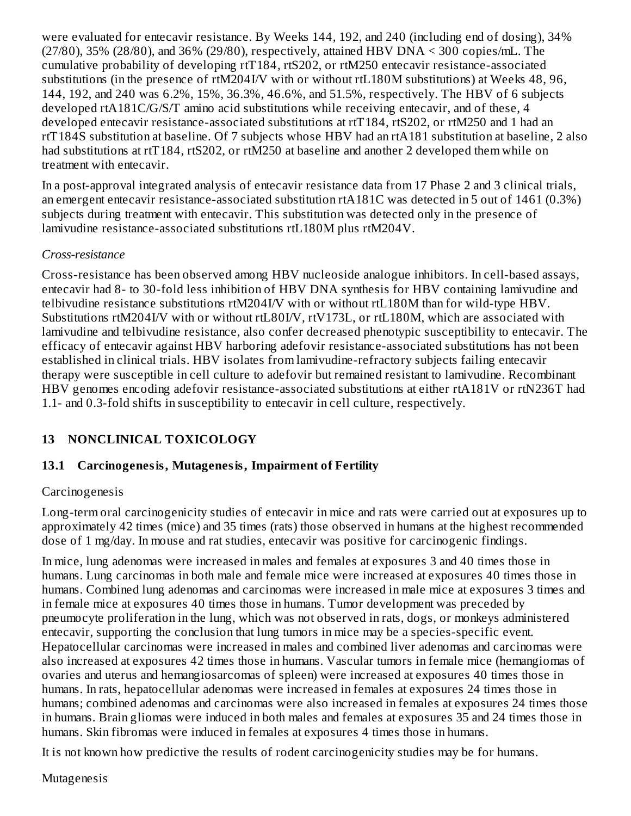were evaluated for entecavir resistance. By Weeks 144, 192, and 240 (including end of dosing), 34% (27/80), 35% (28/80), and 36% (29/80), respectively, attained HBV DNA < 300 copies/mL. The cumulative probability of developing rtT184, rtS202, or rtM250 entecavir resistance-associated substitutions (in the presence of rtM204I/V with or without rtL180M substitutions) at Weeks 48, 96, 144, 192, and 240 was 6.2%, 15%, 36.3%, 46.6%, and 51.5%, respectively. The HBV of 6 subjects developed rtA181C/G/S/T amino acid substitutions while receiving entecavir, and of these, 4 developed entecavir resistance-associated substitutions at rtT184, rtS202, or rtM250 and 1 had an rtT184S substitution at baseline. Of 7 subjects whose HBV had an rtA181 substitution at baseline, 2 also had substitutions at rtT184, rtS202, or rtM250 at baseline and another 2 developed them while on treatment with entecavir.

In a post-approval integrated analysis of entecavir resistance data from 17 Phase 2 and 3 clinical trials, an emergent entecavir resistance-associated substitution rtA181C was detected in 5 out of 1461 (0.3%) subjects during treatment with entecavir. This substitution was detected only in the presence of lamivudine resistance-associated substitutions rtL180M plus rtM204V.

#### *Cross-resistance*

Cross-resistance has been observed among HBV nucleoside analogue inhibitors. In cell-based assays, entecavir had 8- to 30-fold less inhibition of HBV DNA synthesis for HBV containing lamivudine and telbivudine resistance substitutions rtM204I/V with or without rtL180M than for wild-type HBV. Substitutions rtM204I/V with or without rtL80I/V, rtV173L, or rtL180M, which are associated with lamivudine and telbivudine resistance, also confer decreased phenotypic susceptibility to entecavir. The efficacy of entecavir against HBV harboring adefovir resistance-associated substitutions has not been established in clinical trials. HBV isolates from lamivudine-refractory subjects failing entecavir therapy were susceptible in cell culture to adefovir but remained resistant to lamivudine. Recombinant HBV genomes encoding adefovir resistance-associated substitutions at either rtA181V or rtN236T had 1.1- and 0.3-fold shifts in susceptibility to entecavir in cell culture, respectively.

# **13 NONCLINICAL TOXICOLOGY**

### **13.1 Carcinogenesis, Mutagenesis, Impairment of Fertility**

#### Carcinogenesis

Long-term oral carcinogenicity studies of entecavir in mice and rats were carried out at exposures up to approximately 42 times (mice) and 35 times (rats) those observed in humans at the highest recommended dose of 1 mg/day. In mouse and rat studies, entecavir was positive for carcinogenic findings.

In mice, lung adenomas were increased in males and females at exposures 3 and 40 times those in humans. Lung carcinomas in both male and female mice were increased at exposures 40 times those in humans. Combined lung adenomas and carcinomas were increased in male mice at exposures 3 times and in female mice at exposures 40 times those in humans. Tumor development was preceded by pneumocyte proliferation in the lung, which was not observed in rats, dogs, or monkeys administered entecavir, supporting the conclusion that lung tumors in mice may be a species-specific event. Hepatocellular carcinomas were increased in males and combined liver adenomas and carcinomas were also increased at exposures 42 times those in humans. Vascular tumors in female mice (hemangiomas of ovaries and uterus and hemangiosarcomas of spleen) were increased at exposures 40 times those in humans. In rats, hepatocellular adenomas were increased in females at exposures 24 times those in humans; combined adenomas and carcinomas were also increased in females at exposures 24 times those in humans. Brain gliomas were induced in both males and females at exposures 35 and 24 times those in humans. Skin fibromas were induced in females at exposures 4 times those in humans.

It is not known how predictive the results of rodent carcinogenicity studies may be for humans.

#### Mutagenesis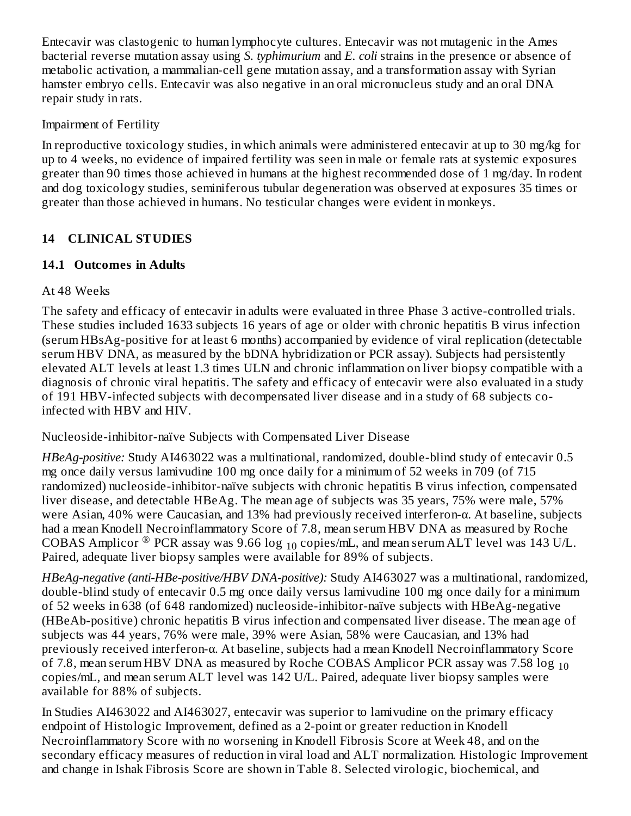Entecavir was clastogenic to human lymphocyte cultures. Entecavir was not mutagenic in the Ames bacterial reverse mutation assay using *S. typhimurium* and *E. coli* strains in the presence or absence of metabolic activation, a mammalian-cell gene mutation assay, and a transformation assay with Syrian hamster embryo cells. Entecavir was also negative in an oral micronucleus study and an oral DNA repair study in rats.

## Impairment of Fertility

In reproductive toxicology studies, in which animals were administered entecavir at up to 30 mg/kg for up to 4 weeks, no evidence of impaired fertility was seen in male or female rats at systemic exposures greater than 90 times those achieved in humans at the highest recommended dose of 1 mg/day. In rodent and dog toxicology studies, seminiferous tubular degeneration was observed at exposures 35 times or greater than those achieved in humans. No testicular changes were evident in monkeys.

# **14 CLINICAL STUDIES**

# **14.1 Outcomes in Adults**

# At 48 Weeks

The safety and efficacy of entecavir in adults were evaluated in three Phase 3 active-controlled trials. These studies included 1633 subjects 16 years of age or older with chronic hepatitis B virus infection (serum HBsAg-positive for at least 6 months) accompanied by evidence of viral replication (detectable serum HBV DNA, as measured by the bDNA hybridization or PCR assay). Subjects had persistently elevated ALT levels at least 1.3 times ULN and chronic inflammation on liver biopsy compatible with a diagnosis of chronic viral hepatitis. The safety and efficacy of entecavir were also evaluated in a study of 191 HBV-infected subjects with decompensated liver disease and in a study of 68 subjects coinfected with HBV and HIV.

Nucleoside-inhibitor-naïve Subjects with Compensated Liver Disease

*HBeAg-positive:* Study AI463022 was a multinational, randomized, double-blind study of entecavir 0.5 mg once daily versus lamivudine 100 mg once daily for a minimum of 52 weeks in 709 (of 715 randomized) nucleoside-inhibitor-naïve subjects with chronic hepatitis B virus infection, compensated liver disease, and detectable HBeAg. The mean age of subjects was 35 years, 75% were male, 57% were Asian, 40% were Caucasian, and 13% had previously received interferon-α. At baseline, subjects had a mean Knodell Necroinflammatory Score of 7.8, mean serum HBV DNA as measured by Roche COBAS Amplicor  $^\circledR$  PCR assay was 9.66 log  $_{10}$  copies/mL, and mean serum ALT level was 143 U/L. Paired, adequate liver biopsy samples were available for 89% of subjects.

*HBeAg-negative (anti-HBe-positive/HBV DNA-positive):* Study AI463027 was a multinational, randomized, double-blind study of entecavir 0.5 mg once daily versus lamivudine 100 mg once daily for a minimum of 52 weeks in 638 (of 648 randomized) nucleoside-inhibitor-naïve subjects with HBeAg-negative (HBeAb-positive) chronic hepatitis B virus infection and compensated liver disease. The mean age of subjects was 44 years, 76% were male, 39% were Asian, 58% were Caucasian, and 13% had previously received interferon-α. At baseline, subjects had a mean Knodell Necroinflammatory Score of 7.8, mean serum HBV DNA as measured by Roche COBAS Amplicor PCR assay was 7.58  $\log_{10}$ copies/mL, and mean serum ALT level was 142 U/L. Paired, adequate liver biopsy samples were available for 88% of subjects.

In Studies AI463022 and AI463027, entecavir was superior to lamivudine on the primary efficacy endpoint of Histologic Improvement, defined as a 2-point or greater reduction in Knodell Necroinflammatory Score with no worsening in Knodell Fibrosis Score at Week 48, and on the secondary efficacy measures of reduction in viral load and ALT normalization. Histologic Improvement and change in Ishak Fibrosis Score are shown in Table 8. Selected virologic, biochemical, and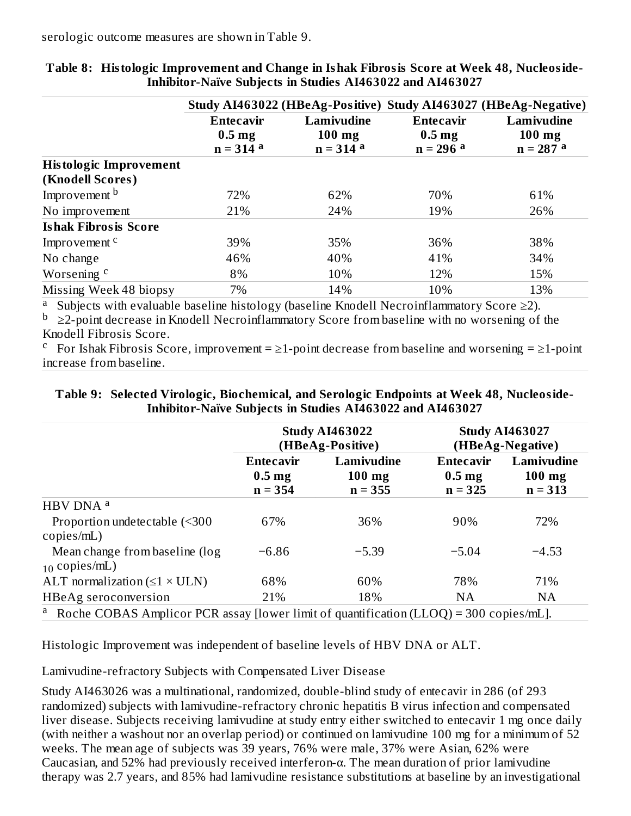|                               |                                                     | Study AI463022 (HBeAg-Positive) Study AI463027 (HBeAg-Negative) |                                                     |                                       |
|-------------------------------|-----------------------------------------------------|-----------------------------------------------------------------|-----------------------------------------------------|---------------------------------------|
|                               | <b>Entecavir</b><br>$0.5 \text{ mg}$<br>$n = 314$ a | Lamivudine<br>$100$ mg<br>$n = 314$ a                           | <b>Entecavir</b><br>$0.5 \text{ mg}$<br>$n = 296$ a | Lamivudine<br>$100$ mg<br>$n = 287$ a |
| <b>Histologic Improvement</b> |                                                     |                                                                 |                                                     |                                       |
| (Knodell Scores)              |                                                     |                                                                 |                                                     |                                       |
| Improvement b                 | 72%                                                 | 62%                                                             | 70%                                                 | 61%                                   |
| No improvement                | 21%                                                 | 24%                                                             | 19%                                                 | 26%                                   |
| <b>Ishak Fibrosis Score</b>   |                                                     |                                                                 |                                                     |                                       |
| Improvement <sup>c</sup>      | 39%                                                 | 35%                                                             | 36%                                                 | 38%                                   |
| No change                     | 46%                                                 | 40%                                                             | 41%                                                 | 34%                                   |
| Worsening <sup>c</sup>        | 8%                                                  | 10%                                                             | 12%                                                 | 15%                                   |
| Missing Week 48 biopsy        | 7%                                                  | 14%                                                             | 10%                                                 | 13%                                   |

**Table 8: Histologic Improvement and Change in Ishak Fibrosis Score at Week 48, Nucleoside-Inhibitor-Naïve Subjects in Studies AI463022 and AI463027**

a Subjects with evaluable baseline histology (baseline Knodell Necroinflammatory Score  $\geq$ 2).

 $\rm{b}$   $\geq$ 2-point decrease in Knodell Necroinflammatory Score from baseline with no worsening of the Knodell Fibrosis Score.

<sup>c</sup> For Ishak Fibrosis Score, improvement =  $\geq$ 1-point decrease from baseline and worsening =  $\geq$ 1-point increase from baseline.

#### **Table 9: Selected Virologic, Biochemical, and Serologic Endpoints at Week 48, Nucleoside-Inhibitor-Naïve Subjects in Studies AI463022 and AI463027**

|                                                                                                     | <b>Study AI463022</b><br>(HBeAg-Positive)          |                                     |                                                    | <b>Study AI463027</b><br>(HBeAg-Negative) |
|-----------------------------------------------------------------------------------------------------|----------------------------------------------------|-------------------------------------|----------------------------------------------------|-------------------------------------------|
|                                                                                                     | <b>Entecavir</b><br>0.5 <sub>mg</sub><br>$n = 354$ | Lamivudine<br>$100$ mg<br>$n = 355$ | <b>Entecavir</b><br>0.5 <sub>mg</sub><br>$n = 325$ | Lamivudine<br>$100$ mg<br>$n = 313$       |
| HBV DNA <sup>a</sup>                                                                                |                                                    |                                     |                                                    |                                           |
| Proportion undetectable (<300<br>copies/mL)                                                         | 67%                                                | 36%                                 | 90%                                                | 72%                                       |
| Mean change from baseline (log<br>$_{10}$ copies/mL)                                                | $-6.86$                                            | $-5.39$                             | $-5.04$                                            | $-4.53$                                   |
| ALT normalization $(\leq 1 \times \text{ULN})$                                                      | 68%                                                | 60%                                 | 78%                                                | 71%                                       |
| HBeAg seroconversion                                                                                | 21%                                                | 18%                                 | NA                                                 | <b>NA</b>                                 |
| <sup>a</sup> Roche COBAS Amplicor PCR assay [lower limit of quantification (LLOQ) = 300 copies/mL]. |                                                    |                                     |                                                    |                                           |

Histologic Improvement was independent of baseline levels of HBV DNA or ALT.

Lamivudine-refractory Subjects with Compensated Liver Disease

Study AI463026 was a multinational, randomized, double-blind study of entecavir in 286 (of 293 randomized) subjects with lamivudine-refractory chronic hepatitis B virus infection and compensated liver disease. Subjects receiving lamivudine at study entry either switched to entecavir 1 mg once daily (with neither a washout nor an overlap period) or continued on lamivudine 100 mg for a minimum of 52 weeks. The mean age of subjects was 39 years, 76% were male, 37% were Asian, 62% were Caucasian, and 52% had previously received interferon-α. The mean duration of prior lamivudine therapy was 2.7 years, and 85% had lamivudine resistance substitutions at baseline by an investigational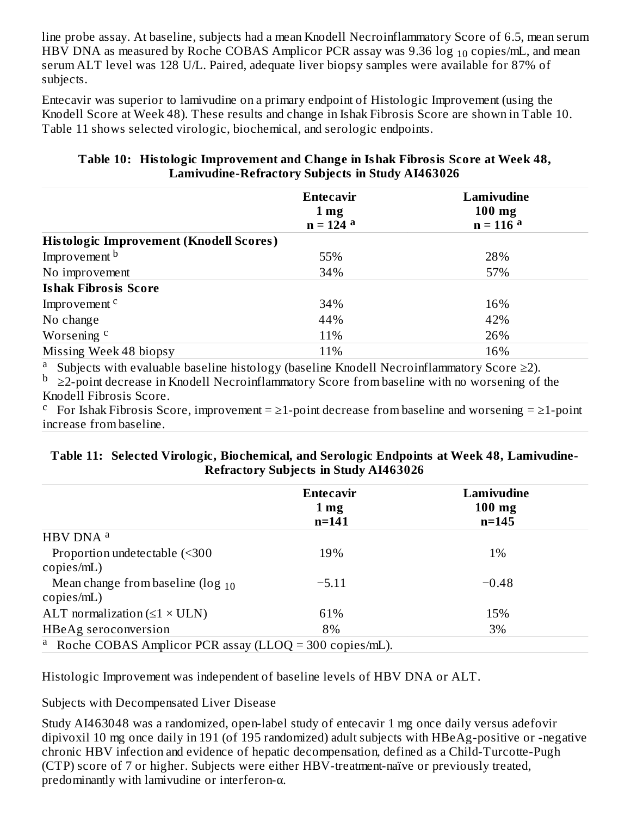line probe assay. At baseline, subjects had a mean Knodell Necroinflammatory Score of 6.5, mean serum HBV DNA as measured by Roche COBAS Amplicor PCR assay was 9.36  $\log_{10}$  copies/mL, and mean serum ALT level was 128 U/L. Paired, adequate liver biopsy samples were available for 87% of subjects.

Entecavir was superior to lamivudine on a primary endpoint of Histologic Improvement (using the Knodell Score at Week 48). These results and change in Ishak Fibrosis Score are shown in Table 10. Table 11 shows selected virologic, biochemical, and serologic endpoints.

| 55% |     |
|-----|-----|
|     |     |
|     | 28% |
| 34% | 57% |
|     |     |
| 34% | 16% |
| 44% | 42% |
| 11% | 26% |
| 11% | 16% |
|     |     |

#### **Table 10: Histologic Improvement and Change in Ishak Fibrosis Score at Week 48, Lamivudine-Refractory Subjects in Study AI463026**

a Subjects with evaluable baseline histology (baseline Knodell Necroinflammatory Score ≥2).

 $\rm{b}$   $\geq$ 2-point decrease in Knodell Necroinflammatory Score from baseline with no worsening of the Knodell Fibrosis Score.

For Ishak Fibrosis Score, improvement =  $\geq$  1-point decrease from baseline and worsening =  $\geq$  1-point increase from baseline.

#### **Table 11: Selected Virologic, Biochemical, and Serologic Endpoints at Week 48, Lamivudine-Refractory Subjects in Study AI463026**

|                                                                     | <b>Entecavir</b><br>1 <sub>mg</sub><br>$n = 141$ | Lamivudine<br>$100$ mg<br>$n = 145$ |
|---------------------------------------------------------------------|--------------------------------------------------|-------------------------------------|
| HBV DNA <sup>a</sup>                                                |                                                  |                                     |
| Proportion undetectable (<300                                       | 19%                                              | $1\%$                               |
| copies/mL)                                                          |                                                  |                                     |
| Mean change from baseline ( $\log_{10}$<br>copies/mL)               | $-5.11$                                          | $-0.48$                             |
| ALT normalization $(\leq 1 \times \text{ULN})$                      | 61%                                              | 15%                                 |
| HBeAg seroconversion                                                | 8%                                               | 3%                                  |
| <sup>a</sup> Roche COBAS Amplicor PCR assay (LLOQ = 300 copies/mL). |                                                  |                                     |

Histologic Improvement was independent of baseline levels of HBV DNA or ALT.

Subjects with Decompensated Liver Disease

Study AI463048 was a randomized, open-label study of entecavir 1 mg once daily versus adefovir dipivoxil 10 mg once daily in 191 (of 195 randomized) adult subjects with HBeAg-positive or -negative chronic HBV infection and evidence of hepatic decompensation, defined as a Child-Turcotte-Pugh (CTP) score of 7 or higher. Subjects were either HBV-treatment-naïve or previously treated, predominantly with lamivudine or interferon-α.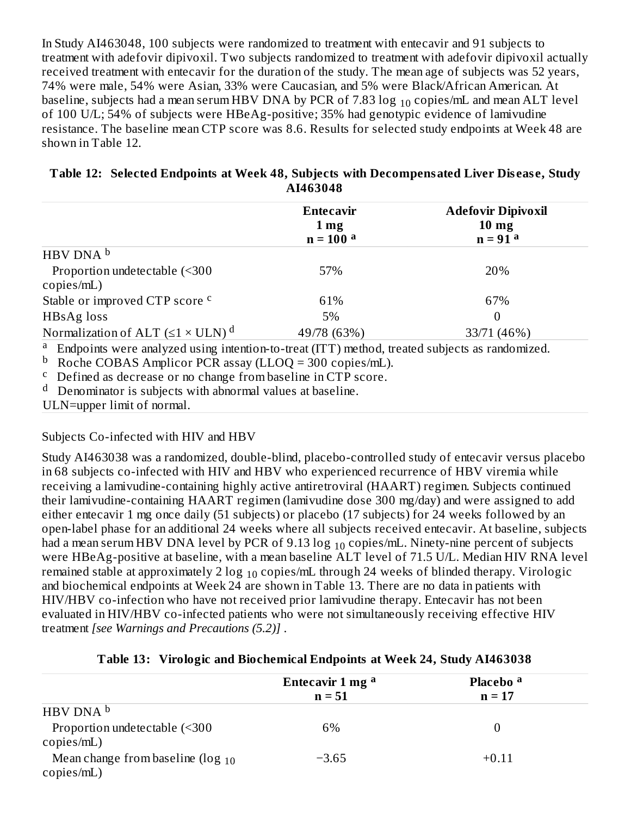In Study AI463048, 100 subjects were randomized to treatment with entecavir and 91 subjects to treatment with adefovir dipivoxil. Two subjects randomized to treatment with adefovir dipivoxil actually received treatment with entecavir for the duration of the study. The mean age of subjects was 52 years, 74% were male, 54% were Asian, 33% were Caucasian, and 5% were Black/African American. At baseline, subjects had a mean serum HBV DNA by PCR of 7.83  $\log_{10}$  copies/mL and mean ALT level of 100 U/L; 54% of subjects were HBeAg-positive; 35% had genotypic evidence of lamivudine resistance. The baseline mean CTP score was 8.6. Results for selected study endpoints at Week 48 are shown in Table 12.

|                                                                                                                                                                                                                                                                 | <b>Entecavir</b><br>1 <sub>mg</sub> | <b>Adefovir Dipivoxil</b><br>$10 \text{ mg}$ |
|-----------------------------------------------------------------------------------------------------------------------------------------------------------------------------------------------------------------------------------------------------------------|-------------------------------------|----------------------------------------------|
|                                                                                                                                                                                                                                                                 | $n = 100a$                          | $n = 91a$                                    |
| HBV DNA b                                                                                                                                                                                                                                                       |                                     |                                              |
| Proportion undetectable (<300<br>copies/mL)                                                                                                                                                                                                                     | 57%                                 | 20%                                          |
| Stable or improved CTP score <sup>c</sup>                                                                                                                                                                                                                       | 61%                                 | 67%                                          |
| HBsAg loss                                                                                                                                                                                                                                                      | 5%                                  | 0                                            |
| Normalization of ALT $(\leq 1 \times \text{ULN})^d$                                                                                                                                                                                                             | 49/78 (63%)                         | 33/71 (46%)                                  |
| <sup>a</sup> Endpoints were analyzed using intention-to-treat (ITT) method, treated subjects as randomized.<br><sup>b</sup> Roche COBAS Amplicor PCR assay (LLOQ = 300 copies/mL).<br><sup>c</sup> Defined as decrease or no change from baseline in CTP score. |                                     |                                              |
| $d$ Denominator is subjects with abnormal values at baseline.                                                                                                                                                                                                   |                                     |                                              |
| ULN=upper limit of normal.                                                                                                                                                                                                                                      |                                     |                                              |

#### **Table 12: Selected Endpoints at Week 48, Subjects with Decompensated Liver Dis eas e, Study AI463048**

Subjects Co-infected with HIV and HBV

Study AI463038 was a randomized, double-blind, placebo-controlled study of entecavir versus placebo in 68 subjects co-infected with HIV and HBV who experienced recurrence of HBV viremia while receiving a lamivudine-containing highly active antiretroviral (HAART) regimen. Subjects continued their lamivudine-containing HAART regimen (lamivudine dose 300 mg/day) and were assigned to add either entecavir 1 mg once daily (51 subjects) or placebo (17 subjects) for 24 weeks followed by an open-label phase for an additional 24 weeks where all subjects received entecavir. At baseline, subjects had a mean serum HBV DNA level by PCR of 9.13  $\log_{10}$  copies/mL. Ninety-nine percent of subjects were HBeAg-positive at baseline, with a mean baseline ALT level of 71.5 U/L. Median HIV RNA level remained stable at approximately 2  $\log_{10}$  copies/mL through 24 weeks of blinded therapy. Virologic and biochemical endpoints at Week 24 are shown in Table 13. There are no data in patients with HIV/HBV co-infection who have not received prior lamivudine therapy. Entecavir has not been evaluated in HIV/HBV co-infected patients who were not simultaneously receiving effective HIV treatment *[see Warnings and Precautions (5.2)]* .

| Table 13: Virologic and Biochemical Endpoints at Week 24, Study AI463038 |  |
|--------------------------------------------------------------------------|--|
|                                                                          |  |

|                                                       | Entecavir 1 mg <sup>a</sup><br>$n = 51$ | Placebo <sup>a</sup><br>$n = 17$ |  |
|-------------------------------------------------------|-----------------------------------------|----------------------------------|--|
| HBV DNA b                                             |                                         |                                  |  |
| Proportion undetectable (<300<br>copies/mL)           | 6%                                      |                                  |  |
| Mean change from baseline ( $\log_{10}$<br>copies/mL) | $-3.65$                                 | $+0.11$                          |  |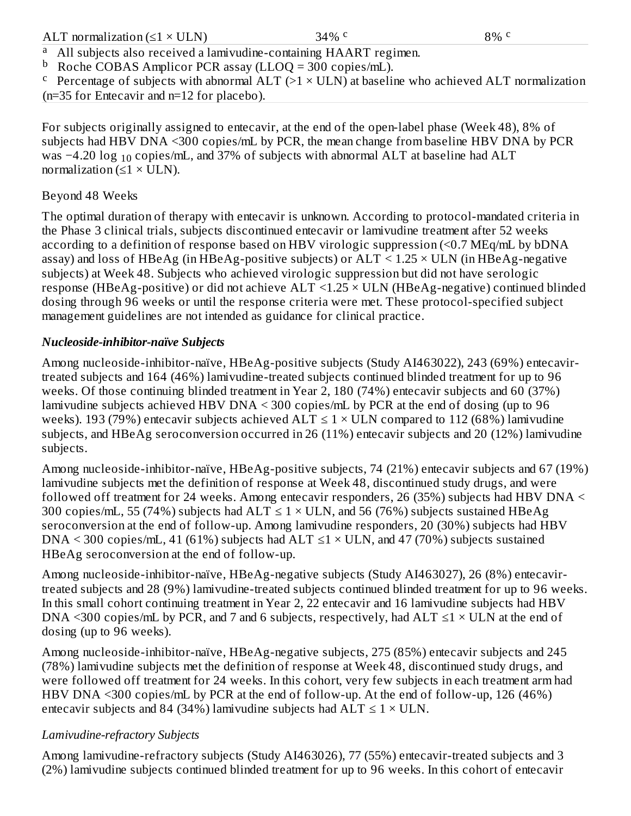#### 34% c 8% c

All subjects also received a lamivudine-containing HAART regimen. a

<sup>b</sup> Roche COBAS Amplicor PCR assay (LLOQ = 300 copies/mL).

<sup>c</sup> Percentage of subjects with abnormal  $ALT$  (>1  $\times$  ULN) at baseline who achieved ALT normalization (n=35 for Entecavir and n=12 for placebo).

For subjects originally assigned to entecavir, at the end of the open-label phase (Week 48), 8% of subjects had HBV DNA <300 copies/mL by PCR, the mean change from baseline HBV DNA by PCR was  $-4.20$  log  $_{10}$  copies/mL, and 37% of subjects with abnormal ALT at baseline had ALT normalization ( $\leq 1 \times$  ULN).

# Beyond 48 Weeks

The optimal duration of therapy with entecavir is unknown. According to protocol-mandated criteria in the Phase 3 clinical trials, subjects discontinued entecavir or lamivudine treatment after 52 weeks according to a definition of response based on HBV virologic suppression (<0.7 MEq/mL by bDNA assay) and loss of HBeAg (in HBeAg-positive subjects) or  $ALT < 1.25 \times ULN$  (in HBeAg-negative subjects) at Week 48. Subjects who achieved virologic suppression but did not have serologic response (HBeAg-positive) or did not achieve ALT <1.25 × ULN (HBeAg-negative) continued blinded dosing through 96 weeks or until the response criteria were met. These protocol-specified subject management guidelines are not intended as guidance for clinical practice.

# *Nucleoside-inhibitor-naïve Subjects*

Among nucleoside-inhibitor-naïve, HBeAg-positive subjects (Study AI463022), 243 (69%) entecavirtreated subjects and 164 (46%) lamivudine-treated subjects continued blinded treatment for up to 96 weeks. Of those continuing blinded treatment in Year 2, 180 (74%) entecavir subjects and 60 (37%) lamivudine subjects achieved HBV DNA < 300 copies/mL by PCR at the end of dosing (up to 96 weeks). 193 (79%) entecavir subjects achieved  $ALT \le 1 \times ULN$  compared to 112 (68%) lamivudine subjects, and HBeAg seroconversion occurred in 26 (11%) entecavir subjects and 20 (12%) lamivudine subjects.

Among nucleoside-inhibitor-naïve, HBeAg-positive subjects, 74 (21%) entecavir subjects and 67 (19%) lamivudine subjects met the definition of response at Week 48, discontinued study drugs, and were followed off treatment for 24 weeks. Among entecavir responders, 26 (35%) subjects had HBV DNA < 300 copies/mL, 55 (74%) subjects had  $ALT \le 1 \times ULN$ , and 56 (76%) subjects sustained HBeAg seroconversion at the end of follow-up. Among lamivudine responders, 20 (30%) subjects had HBV DNA < 300 copies/mL, 41 (61%) subjects had ALT  $\leq$ 1 × ULN, and 47 (70%) subjects sustained HBeAg seroconversion at the end of follow-up.

Among nucleoside-inhibitor-naïve, HBeAg-negative subjects (Study AI463027), 26 (8%) entecavirtreated subjects and 28 (9%) lamivudine-treated subjects continued blinded treatment for up to 96 weeks. In this small cohort continuing treatment in Year 2, 22 entecavir and 16 lamivudine subjects had HBV DNA <300 copies/mL by PCR, and 7 and 6 subjects, respectively, had  $ALT \leq 1 \times ULN$  at the end of dosing (up to 96 weeks).

Among nucleoside-inhibitor-naïve, HBeAg-negative subjects, 275 (85%) entecavir subjects and 245 (78%) lamivudine subjects met the definition of response at Week 48, discontinued study drugs, and were followed off treatment for 24 weeks. In this cohort, very few subjects in each treatment arm had HBV DNA <300 copies/mL by PCR at the end of follow-up. At the end of follow-up, 126 (46%) entecavir subjects and 84 (34%) lamivudine subjects had  $ALT \le 1 \times ULN$ .

# *Lamivudine-refractory Subjects*

Among lamivudine-refractory subjects (Study AI463026), 77 (55%) entecavir-treated subjects and 3 (2%) lamivudine subjects continued blinded treatment for up to 96 weeks. In this cohort of entecavir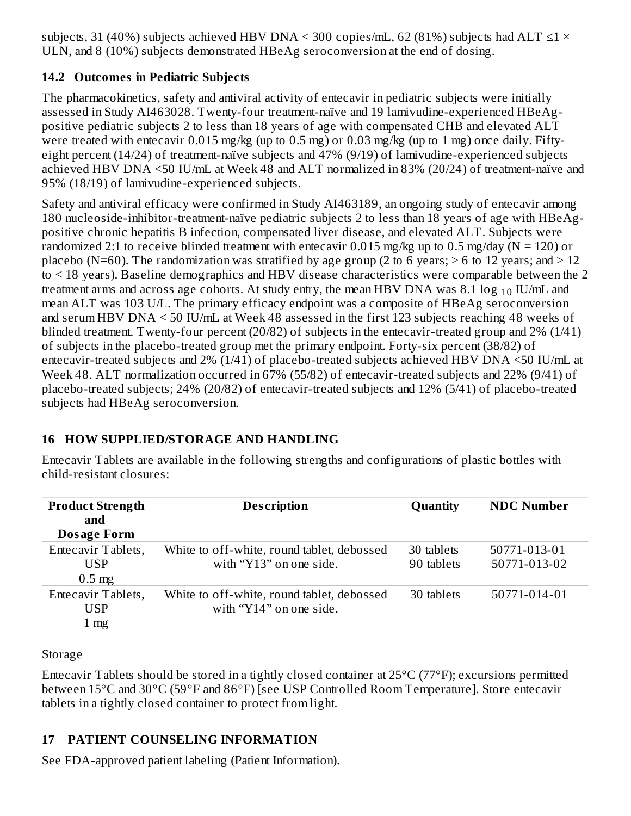subjects, 31 (40%) subjects achieved HBV DNA < 300 copies/mL, 62 (81%) subjects had ALT  $\leq$ 1 × ULN, and 8 (10%) subjects demonstrated HBeAg seroconversion at the end of dosing.

# **14.2 Outcomes in Pediatric Subjects**

The pharmacokinetics, safety and antiviral activity of entecavir in pediatric subjects were initially assessed in Study AI463028. Twenty-four treatment-naïve and 19 lamivudine-experienced HBeAgpositive pediatric subjects 2 to less than 18 years of age with compensated CHB and elevated ALT were treated with entecavir 0.015 mg/kg (up to 0.5 mg) or 0.03 mg/kg (up to 1 mg) once daily. Fiftyeight percent (14/24) of treatment-naïve subjects and 47% (9/19) of lamivudine-experienced subjects achieved HBV DNA <50 IU/mL at Week 48 and ALT normalized in 83% (20/24) of treatment-naïve and 95% (18/19) of lamivudine-experienced subjects.

Safety and antiviral efficacy were confirmed in Study AI463189, an ongoing study of entecavir among 180 nucleoside-inhibitor-treatment-naïve pediatric subjects 2 to less than 18 years of age with HBeAgpositive chronic hepatitis B infection, compensated liver disease, and elevated ALT. Subjects were randomized 2:1 to receive blinded treatment with entecavir 0.015 mg/kg up to 0.5 mg/day ( $N = 120$ ) or placebo (N=60). The randomization was stratified by age group (2 to 6 years;  $>$  6 to 12 years; and  $>$  12 to < 18 years). Baseline demographics and HBV disease characteristics were comparable between the 2 treatment arms and across age cohorts. At study entry, the mean HBV DNA was 8.1  $\log_{10}$  IU/mL and mean ALT was 103 U/L. The primary efficacy endpoint was a composite of HBeAg seroconversion and serum HBV DNA < 50 IU/mL at Week 48 assessed in the first 123 subjects reaching 48 weeks of blinded treatment. Twenty-four percent (20/82) of subjects in the entecavir-treated group and 2% (1/41) of subjects in the placebo-treated group met the primary endpoint. Forty-six percent (38/82) of entecavir-treated subjects and 2% (1/41) of placebo-treated subjects achieved HBV DNA <50 IU/mL at Week 48. ALT normalization occurred in 67% (55/82) of entecavir-treated subjects and 22% (9/41) of placebo-treated subjects; 24% (20/82) of entecavir-treated subjects and 12% (5/41) of placebo-treated subjects had HBeAg seroconversion.

# **16 HOW SUPPLIED/STORAGE AND HANDLING**

Entecavir Tablets are available in the following strengths and configurations of plastic bottles with child-resistant closures:

| <b>Product Strength</b><br>and | <b>Description</b>                         | <b>Quantity</b> | <b>NDC Number</b> |
|--------------------------------|--------------------------------------------|-----------------|-------------------|
| <b>Dosage Form</b>             |                                            |                 |                   |
| Entecavir Tablets,             | White to off-white, round tablet, debossed | 30 tablets      | 50771-013-01      |
| <b>USP</b>                     | with "Y13" on one side.                    | 90 tablets      | 50771-013-02      |
| $0.5$ mg                       |                                            |                 |                   |
| Entecavir Tablets,             | White to off-white, round tablet, debossed | 30 tablets      | 50771-014-01      |
| <b>USP</b>                     | with "Y14" on one side.                    |                 |                   |
| $1 \text{ mg}$                 |                                            |                 |                   |

Storage

Entecavir Tablets should be stored in a tightly closed container at 25°C (77°F); excursions permitted between 15°C and 30°C (59°F and 86°F) [see USP Controlled Room Temperature]. Store entecavir tablets in a tightly closed container to protect from light.

# **17 PATIENT COUNSELING INFORMATION**

See FDA-approved patient labeling (Patient Information).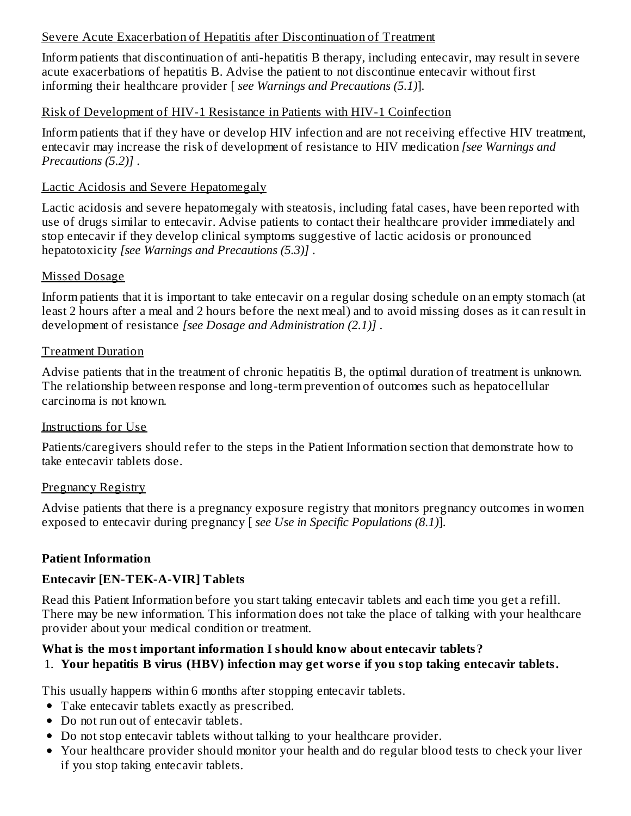### Severe Acute Exacerbation of Hepatitis after Discontinuation of Treatment

Inform patients that discontinuation of anti-hepatitis B therapy, including entecavir, may result in severe acute exacerbations of hepatitis B. Advise the patient to not discontinue entecavir without first informing their healthcare provider [ *see Warnings and Precautions (5.1)*].

#### Risk of Development of HIV-1 Resistance in Patients with HIV-1 Coinfection

Inform patients that if they have or develop HIV infection and are not receiving effective HIV treatment, entecavir may increase the risk of development of resistance to HIV medication *[see Warnings and Precautions (5.2)]* .

#### Lactic Acidosis and Severe Hepatomegaly

Lactic acidosis and severe hepatomegaly with steatosis, including fatal cases, have been reported with use of drugs similar to entecavir. Advise patients to contact their healthcare provider immediately and stop entecavir if they develop clinical symptoms suggestive of lactic acidosis or pronounced hepatotoxicity *[see Warnings and Precautions (5.3)]* .

#### Missed Dosage

Inform patients that it is important to take entecavir on a regular dosing schedule on an empty stomach (at least 2 hours after a meal and 2 hours before the next meal) and to avoid missing doses as it can result in development of resistance *[see Dosage and Administration (2.1)]* .

#### Treatment Duration

Advise patients that in the treatment of chronic hepatitis B, the optimal duration of treatment is unknown. The relationship between response and long-term prevention of outcomes such as hepatocellular carcinoma is not known.

#### Instructions for Use

Patients/caregivers should refer to the steps in the Patient Information section that demonstrate how to take entecavir tablets dose.

#### Pregnancy Registry

Advise patients that there is a pregnancy exposure registry that monitors pregnancy outcomes in women exposed to entecavir during pregnancy [ *see Use in Specific Populations (8.1)*].

### **Patient Information**

### **Entecavir [EN-TEK-A-VIR] Tablets**

Read this Patient Information before you start taking entecavir tablets and each time you get a refill. There may be new information. This information does not take the place of talking with your healthcare provider about your medical condition or treatment.

### **What is the most important information I should know about entecavir tablets?**

### 1. **Your hepatitis B virus (HBV) infection may get wors e if you stop taking entecavir tablets.**

This usually happens within 6 months after stopping entecavir tablets.

- Take entecavir tablets exactly as prescribed.
- Do not run out of entecavir tablets.
- Do not stop entecavir tablets without talking to your healthcare provider.
- Your healthcare provider should monitor your health and do regular blood tests to check your liver if you stop taking entecavir tablets.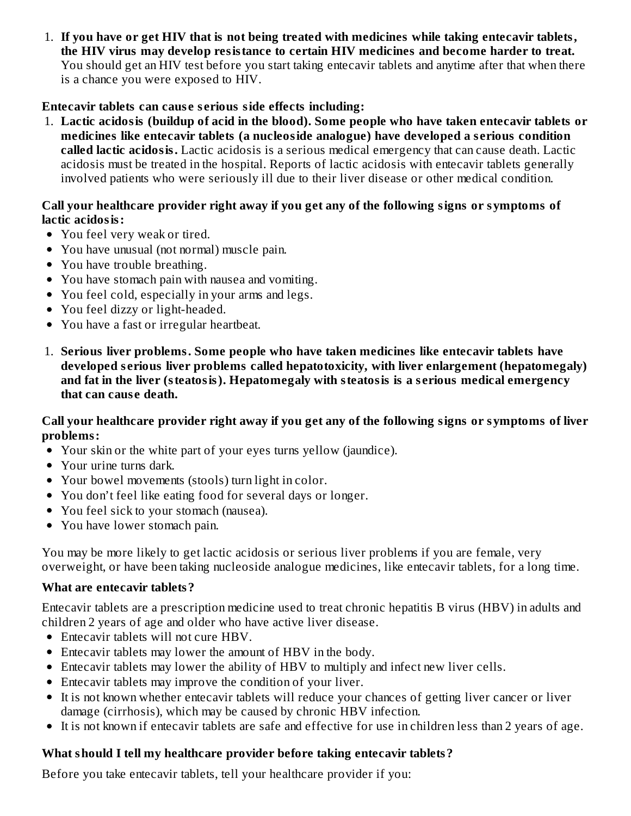1. **If you have or get HIV that is not being treated with medicines while taking entecavir tablets, the HIV virus may develop resistance to certain HIV medicines and become harder to treat.** You should get an HIV test before you start taking entecavir tablets and anytime after that when there is a chance you were exposed to HIV.

# **Entecavir tablets can caus e s erious side effects including:**

1. **Lactic acidosis (buildup of acid in the blood). Some people who have taken entecavir tablets or medicines like entecavir tablets (a nucleoside analogue) have developed a s erious condition called lactic acidosis.** Lactic acidosis is a serious medical emergency that can cause death. Lactic acidosis must be treated in the hospital. Reports of lactic acidosis with entecavir tablets generally involved patients who were seriously ill due to their liver disease or other medical condition.

#### **Call your healthcare provider right away if you get any of the following signs or symptoms of lactic acidosis:**

- You feel very weak or tired.
- You have unusual (not normal) muscle pain.
- You have trouble breathing.
- You have stomach pain with nausea and vomiting.
- You feel cold, especially in your arms and legs.
- You feel dizzy or light-headed.
- You have a fast or irregular heartbeat.
- 1. **Serious liver problems. Some people who have taken medicines like entecavir tablets have developed s erious liver problems called hepatotoxicity, with liver enlargement (hepatomegaly) and fat in the liver (steatosis). Hepatomegaly with steatosis is a s erious medical emergency that can caus e death.**

#### Call your healthcare provider right away if you get any of the following signs or symptoms of liver **problems:**

- Your skin or the white part of your eyes turns yellow (jaundice).
- Your urine turns dark.
- Your bowel movements (stools) turn light in color.
- You don't feel like eating food for several days or longer.
- You feel sick to your stomach (nausea).
- You have lower stomach pain.

You may be more likely to get lactic acidosis or serious liver problems if you are female, very overweight, or have been taking nucleoside analogue medicines, like entecavir tablets, for a long time.

### **What are entecavir tablets?**

Entecavir tablets are a prescription medicine used to treat chronic hepatitis B virus (HBV) in adults and children 2 years of age and older who have active liver disease.

- Entecavir tablets will not cure HBV.
- Entecavir tablets may lower the amount of HBV in the body.
- Entecavir tablets may lower the ability of HBV to multiply and infect new liver cells.
- Entecavir tablets may improve the condition of your liver.
- It is not known whether entecavir tablets will reduce your chances of getting liver cancer or liver damage (cirrhosis), which may be caused by chronic HBV infection.
- It is not known if entecavir tablets are safe and effective for use in children less than 2 years of age.

# **What should I tell my healthcare provider before taking entecavir tablets?**

Before you take entecavir tablets, tell your healthcare provider if you: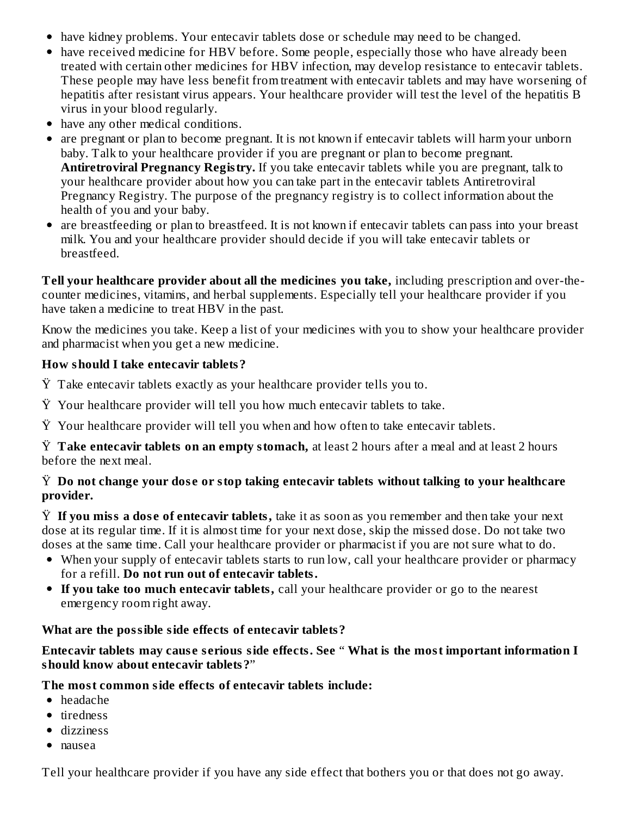- have kidney problems. Your entecavir tablets dose or schedule may need to be changed.
- have received medicine for HBV before. Some people, especially those who have already been treated with certain other medicines for HBV infection, may develop resistance to entecavir tablets. These people may have less benefit from treatment with entecavir tablets and may have worsening of hepatitis after resistant virus appears. Your healthcare provider will test the level of the hepatitis B virus in your blood regularly.
- have any other medical conditions.
- are pregnant or plan to become pregnant. It is not known if entecavir tablets will harm your unborn baby. Talk to your healthcare provider if you are pregnant or plan to become pregnant. **Antiretroviral Pregnancy Registry.** If you take entecavir tablets while you are pregnant, talk to your healthcare provider about how you can take part in the entecavir tablets Antiretroviral Pregnancy Registry. The purpose of the pregnancy registry is to collect information about the health of you and your baby.
- are breastfeeding or plan to breastfeed. It is not known if entecavir tablets can pass into your breast milk. You and your healthcare provider should decide if you will take entecavir tablets or breastfeed.

**Tell your healthcare provider about all the medicines you take,** including prescription and over-thecounter medicines, vitamins, and herbal supplements. Especially tell your healthcare provider if you have taken a medicine to treat HBV in the past.

Know the medicines you take. Keep a list of your medicines with you to show your healthcare provider and pharmacist when you get a new medicine.

## **How should I take entecavir tablets?**

- $\ddot{Y}$  Take entecavir tablets exactly as your healthcare provider tells you to.
- $\ddot{Y}$  Your healthcare provider will tell you how much entecavir tablets to take.
- Ÿ Your healthcare provider will tell you when and how often to take entecavir tablets.

Ÿ **Take entecavir tablets on an empty stomach,** at least 2 hours after a meal and at least 2 hours before the next meal.

### Ÿ **Do not change your dos e or stop taking entecavir tablets without talking to your healthcare provider.**

Ÿ **If you miss a dos e of entecavir tablets,** take it as soon as you remember and then take your next dose at its regular time. If it is almost time for your next dose, skip the missed dose. Do not take two doses at the same time. Call your healthcare provider or pharmacist if you are not sure what to do.

- When your supply of entecavir tablets starts to run low, call your healthcare provider or pharmacy for a refill. **Do not run out of entecavir tablets.**
- **If you take too much entecavir tablets,** call your healthcare provider or go to the nearest emergency room right away.

# **What are the possible side effects of entecavir tablets?**

### **Entecavir tablets may caus e s erious side effects. See** " **What is the most important information I should know about entecavir tablets?**"

# **The most common side effects of entecavir tablets include:**

- headache
- tiredness
- dizziness
- nausea

Tell your healthcare provider if you have any side effect that bothers you or that does not go away.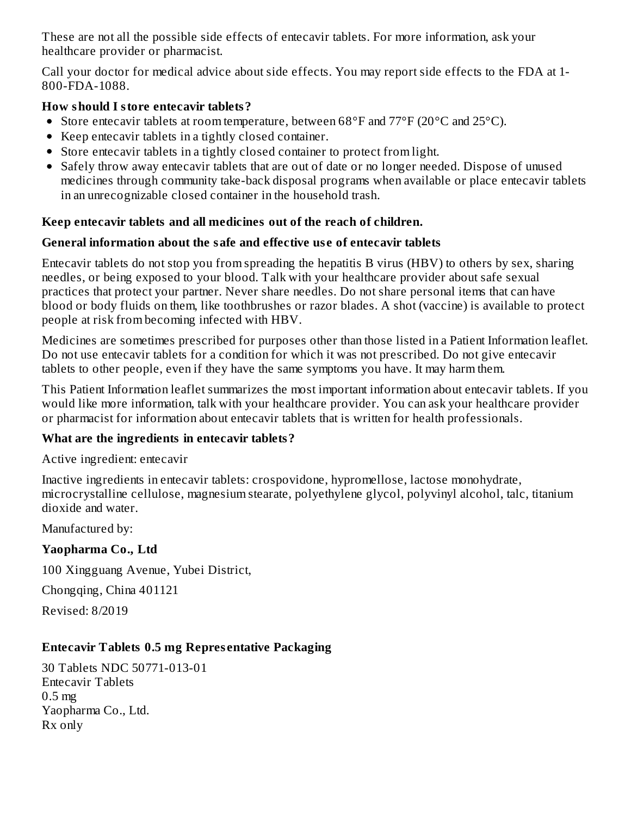These are not all the possible side effects of entecavir tablets. For more information, ask your healthcare provider or pharmacist.

Call your doctor for medical advice about side effects. You may report side effects to the FDA at 1- 800-FDA-1088.

### **How should I store entecavir tablets?**

- Store entecavir tablets at room temperature, between 68°F and 77°F (20°C and 25°C).
- Keep entecavir tablets in a tightly closed container.
- Store entecavir tablets in a tightly closed container to protect from light.
- Safely throw away entecavir tablets that are out of date or no longer needed. Dispose of unused medicines through community take-back disposal programs when available or place entecavir tablets in an unrecognizable closed container in the household trash.

### **Keep entecavir tablets and all medicines out of the reach of children.**

### **General information about the safe and effective us e of entecavir tablets**

Entecavir tablets do not stop you from spreading the hepatitis B virus (HBV) to others by sex, sharing needles, or being exposed to your blood. Talk with your healthcare provider about safe sexual practices that protect your partner. Never share needles. Do not share personal items that can have blood or body fluids on them, like toothbrushes or razor blades. A shot (vaccine) is available to protect people at risk from becoming infected with HBV.

Medicines are sometimes prescribed for purposes other than those listed in a Patient Information leaflet. Do not use entecavir tablets for a condition for which it was not prescribed. Do not give entecavir tablets to other people, even if they have the same symptoms you have. It may harm them.

This Patient Information leaflet summarizes the most important information about entecavir tablets. If you would like more information, talk with your healthcare provider. You can ask your healthcare provider or pharmacist for information about entecavir tablets that is written for health professionals.

### **What are the ingredients in entecavir tablets?**

Active ingredient: entecavir

Inactive ingredients in entecavir tablets: crospovidone, hypromellose, lactose monohydrate, microcrystalline cellulose, magnesium stearate, polyethylene glycol, polyvinyl alcohol, talc, titanium dioxide and water.

Manufactured by:

# **Yaopharma Co., Ltd**

100 Xingguang Avenue, Yubei District,

Chongqing, China 401121

Revised: 8/2019

# **Entecavir Tablets 0.5 mg Repres entative Packaging**

30 Tablets NDC 50771-013-01 Entecavir Tablets 0.5 mg Yaopharma Co., Ltd. Rx only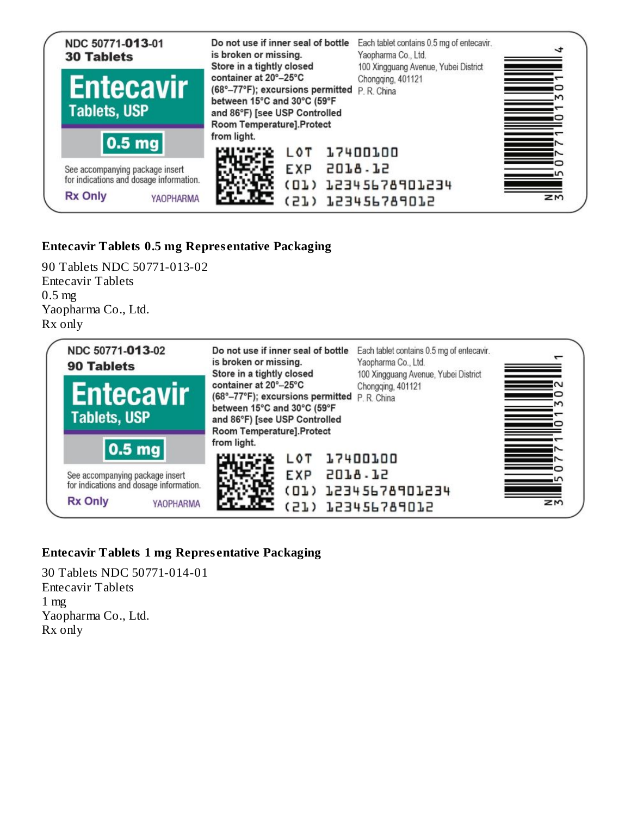

# **Entecavir Tablets 0.5 mg Repres entative Packaging**

90 Tablets NDC 50771-013-02 Entecavir Tablets 0.5 mg Yaopharma Co., Ltd. Rx only



# **Entecavir Tablets 1 mg Repres entative Packaging**

30 Tablets NDC 50771-014-01 Entecavir Tablets 1 mg Yaopharma Co., Ltd. Rx only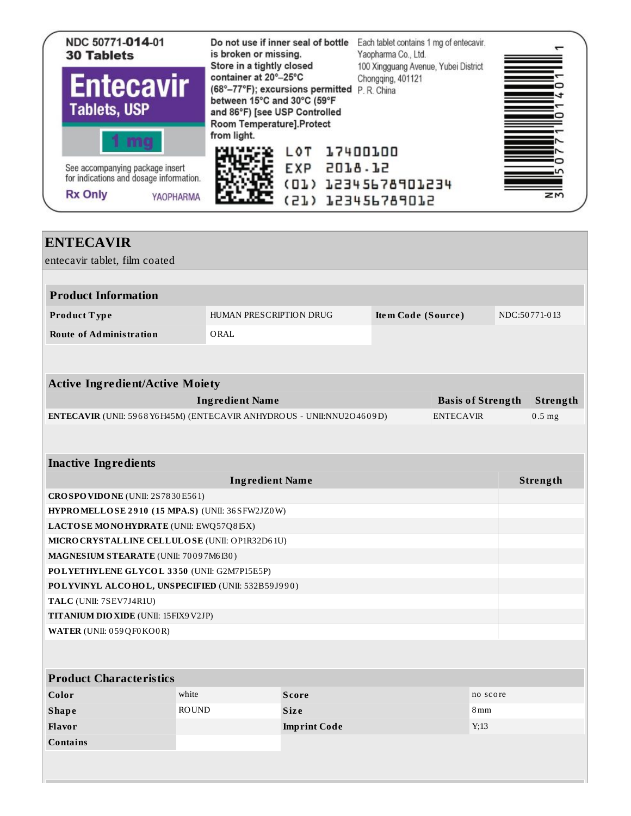

| <b>ENTECAVIR</b>                                                       |                         |                      |                    |                          |               |
|------------------------------------------------------------------------|-------------------------|----------------------|--------------------|--------------------------|---------------|
| entecavir tablet, film coated                                          |                         |                      |                    |                          |               |
|                                                                        |                         |                      |                    |                          |               |
| <b>Product Information</b>                                             |                         |                      |                    |                          |               |
| Product Type                                                           | HUMAN PRESCRIPTION DRUG |                      | Item Code (Source) |                          | NDC:50771-013 |
| <b>Route of Administration</b>                                         | ORAL                    |                      |                    |                          |               |
|                                                                        |                         |                      |                    |                          |               |
|                                                                        |                         |                      |                    |                          |               |
| <b>Active Ingredient/Active Moiety</b>                                 |                         |                      |                    |                          |               |
|                                                                        | <b>Ingredient Name</b>  |                      |                    | <b>Basis of Strength</b> | Strength      |
| ENTECAVIR (UNII: 5968 Y6 H45M) (ENTECAVIR ANHYDROUS - UNII:NNU2O4609D) |                         |                      |                    | <b>ENTECAVIR</b>         | $0.5$ mg      |
|                                                                        |                         |                      |                    |                          |               |
|                                                                        |                         |                      |                    |                          |               |
| <b>Inactive Ingredients</b>                                            |                         |                      |                    |                          |               |
|                                                                        | <b>Ingredient Name</b>  |                      |                    |                          | Strength      |
| CROSPOVIDONE (UNII: 2S7830E561)                                        |                         |                      |                    |                          |               |
| HYPROMELLOSE 2910 (15 MPA.S) (UNII: 36 SFW2JZ0W)                       |                         |                      |                    |                          |               |
| LACTOSE MONOHYDRATE (UNII: EWQ57Q8I5X)                                 |                         |                      |                    |                          |               |
| MICRO CRYSTALLINE CELLULO SE (UNII: OP1R32D61U)                        |                         |                      |                    |                          |               |
| MAGNESIUM STEARATE (UNII: 70097M6I30)                                  |                         |                      |                    |                          |               |
| POLYETHYLENE GLYCOL 3350 (UNII: G2M7P15E5P)                            |                         |                      |                    |                          |               |
| POLYVINYL ALCOHOL, UNSPECIFIED (UNII: 532B59J990)                      |                         |                      |                    |                          |               |
| TALC (UNII: 7SEV7J4R1U)                                                |                         |                      |                    |                          |               |
| <b>TITANIUM DIO XIDE (UNII: 15FIX9V2JP)</b>                            |                         |                      |                    |                          |               |
| WATER (UNII: 059 QF0 KO0 R)                                            |                         |                      |                    |                          |               |
|                                                                        |                         |                      |                    |                          |               |
| <b>Product Characteristics</b>                                         |                         |                      |                    |                          |               |
| Color                                                                  | white                   |                      |                    | no score                 |               |
| <b>Shape</b>                                                           | <b>ROUND</b>            | Score<br><b>Size</b> |                    | 8mm                      |               |
| Flavor                                                                 |                         | <b>Imprint Code</b>  |                    | Y;13                     |               |
| <b>Contains</b>                                                        |                         |                      |                    |                          |               |
|                                                                        |                         |                      |                    |                          |               |
|                                                                        |                         |                      |                    |                          |               |
|                                                                        |                         |                      |                    |                          |               |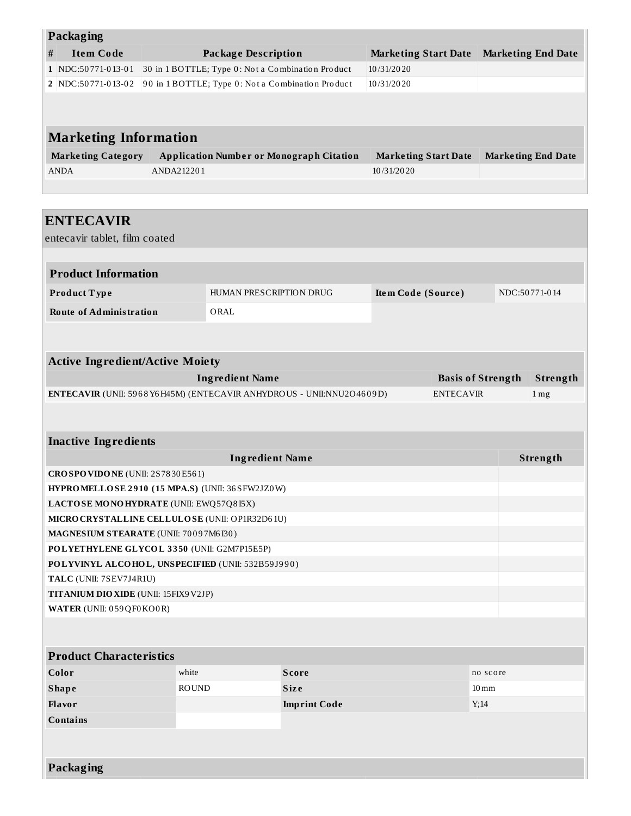| Packaging                                                                                 |                                       |                                                   |                     |                             |                  |                          |                           |
|-------------------------------------------------------------------------------------------|---------------------------------------|---------------------------------------------------|---------------------|-----------------------------|------------------|--------------------------|---------------------------|
| <b>Item Code</b><br>$\#$                                                                  |                                       | <b>Package Description</b>                        |                     | <b>Marketing Start Date</b> |                  |                          | <b>Marketing End Date</b> |
| 1 NDC:50771-013-01                                                                        |                                       | 30 in 1 BOTTLE; Type 0: Not a Combination Product |                     | 10/31/2020                  |                  |                          |                           |
| 2 NDC:50771-013-02                                                                        |                                       | 90 in 1 BOTTLE; Type 0: Not a Combination Product |                     | 10/31/2020                  |                  |                          |                           |
|                                                                                           |                                       |                                                   |                     |                             |                  |                          |                           |
|                                                                                           |                                       |                                                   |                     |                             |                  |                          |                           |
| <b>Marketing Information</b>                                                              |                                       |                                                   |                     |                             |                  |                          |                           |
| <b>Marketing Category</b>                                                                 |                                       | <b>Application Number or Monograph Citation</b>   |                     | <b>Marketing Start Date</b> |                  |                          | <b>Marketing End Date</b> |
| <b>ANDA</b>                                                                               | ANDA212201                            |                                                   |                     | 10/31/2020                  |                  |                          |                           |
|                                                                                           |                                       |                                                   |                     |                             |                  |                          |                           |
|                                                                                           |                                       |                                                   |                     |                             |                  |                          |                           |
| <b>ENTECAVIR</b>                                                                          |                                       |                                                   |                     |                             |                  |                          |                           |
| entecavir tablet, film coated                                                             |                                       |                                                   |                     |                             |                  |                          |                           |
|                                                                                           |                                       |                                                   |                     |                             |                  |                          |                           |
| <b>Product Information</b>                                                                |                                       |                                                   |                     |                             |                  |                          |                           |
|                                                                                           |                                       |                                                   |                     |                             |                  |                          |                           |
| Product Type                                                                              |                                       | HUMAN PRESCRIPTION DRUG                           |                     | Item Code (Source)          |                  |                          | NDC:50771-014             |
| <b>Route of Administration</b>                                                            |                                       | ORAL                                              |                     |                             |                  |                          |                           |
|                                                                                           |                                       |                                                   |                     |                             |                  |                          |                           |
|                                                                                           |                                       |                                                   |                     |                             |                  |                          |                           |
| <b>Active Ingredient/Active Moiety</b>                                                    |                                       |                                                   |                     |                             |                  |                          |                           |
|                                                                                           |                                       | <b>Ingredient Name</b>                            |                     |                             |                  | <b>Basis of Strength</b> | Strength                  |
| ENTECAVIR (UNII: 5968 Y6H45M) (ENTECAVIR ANHYDROUS - UNII:NNU2O4609D)                     |                                       |                                                   |                     |                             | <b>ENTECAVIR</b> |                          | 1 <sub>mg</sub>           |
|                                                                                           |                                       |                                                   |                     |                             |                  |                          |                           |
|                                                                                           |                                       |                                                   |                     |                             |                  |                          |                           |
| <b>Inactive Ingredients</b>                                                               |                                       |                                                   |                     |                             |                  |                          |                           |
| <b>Ingredient Name</b><br>Strength                                                        |                                       |                                                   |                     |                             |                  |                          |                           |
| CROSPOVIDONE (UNII: 2S7830E561)                                                           |                                       |                                                   |                     |                             |                  |                          |                           |
| HYPROMELLOSE 2910 (15 MPA.S) (UNII: 36 SFW2JZ0W)                                          |                                       |                                                   |                     |                             |                  |                          |                           |
| LACTOSE MONOHYDRATE (UNII: EWQ57Q8I5X)<br>MICRO CRYSTALLINE CELLULO SE (UNII: OP1R32D61U) |                                       |                                                   |                     |                             |                  |                          |                           |
| MAGNESIUM STEARATE (UNII: 70097M6I30)                                                     |                                       |                                                   |                     |                             |                  |                          |                           |
| POLYETHYLENE GLYCOL 3350 (UNII: G2M7P15E5P)                                               |                                       |                                                   |                     |                             |                  |                          |                           |
| POLYVINYL ALCOHOL, UNSPECIFIED (UNII: 532B59J990)                                         |                                       |                                                   |                     |                             |                  |                          |                           |
|                                                                                           | TALC (UNII: 7SEV7J4R1U)               |                                                   |                     |                             |                  |                          |                           |
|                                                                                           | TITANIUM DIO XIDE (UNII: 15FIX9 V2JP) |                                                   |                     |                             |                  |                          |                           |
| WATER (UNII: 059 QF0 KO0 R)                                                               |                                       |                                                   |                     |                             |                  |                          |                           |
|                                                                                           |                                       |                                                   |                     |                             |                  |                          |                           |
|                                                                                           |                                       |                                                   |                     |                             |                  |                          |                           |
| <b>Product Characteristics</b>                                                            |                                       |                                                   |                     |                             |                  |                          |                           |
| Color                                                                                     | white                                 |                                                   | <b>Score</b>        |                             |                  | no score                 |                           |
| <b>Shape</b>                                                                              | <b>ROUND</b>                          |                                                   | <b>Size</b>         |                             |                  | $10 \,\mathrm{mm}$       |                           |
| Flavor                                                                                    |                                       |                                                   | <b>Imprint Code</b> |                             |                  | Y;14                     |                           |
| <b>Contains</b>                                                                           |                                       |                                                   |                     |                             |                  |                          |                           |
|                                                                                           |                                       |                                                   |                     |                             |                  |                          |                           |
|                                                                                           |                                       |                                                   |                     |                             |                  |                          |                           |
| Packaging                                                                                 |                                       |                                                   |                     |                             |                  |                          |                           |